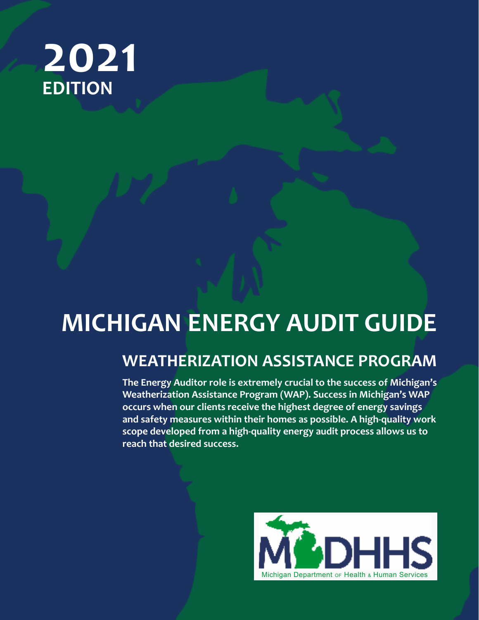# **2021 EDITION**

# **MICHIGAN ENERGY AUDIT GUIDE**

# **WEATHERIZATION ASSISTANCE PROGRAM**

**The Energy Auditor role is extremely crucial to the success of Michigan's Weatherization Assistance Program (WAP). Success in Michigan's WAP occurs when our clients receive the highest degree of energy savings and safety measures within their homes as possible. A high-quality work scope developed from a high-quality energy audit process allows us to reach that desired success.**

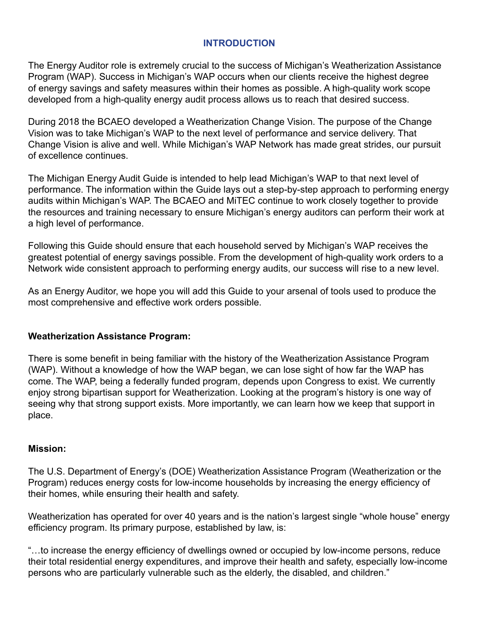### **INTRODUCTION**

The Energy Auditor role is extremely crucial to the success of Michigan's Weatherization Assistance Program (WAP). Success in Michigan's WAP occurs when our clients receive the highest degree of energy savings and safety measures within their homes as possible. A high-quality work scope developed from a high-quality energy audit process allows us to reach that desired success.

During 2018 the BCAEO developed a Weatherization Change Vision. The purpose of the Change Vision was to take Michigan's WAP to the next level of performance and service delivery. That Change Vision is alive and well. While Michigan's WAP Network has made great strides, our pursuit of excellence continues.

The Michigan Energy Audit Guide is intended to help lead Michigan's WAP to that next level of performance. The information within the Guide lays out a step-by-step approach to performing energy audits within Michigan's WAP. The BCAEO and MiTEC continue to work closely together to provide the resources and training necessary to ensure Michigan's energy auditors can perform their work at a high level of performance.

Following this Guide should ensure that each household served by Michigan's WAP receives the greatest potential of energy savings possible. From the development of high-quality work orders to a Network wide consistent approach to performing energy audits, our success will rise to a new level.

As an Energy Auditor, we hope you will add this Guide to your arsenal of tools used to produce the most comprehensive and effective work orders possible.

### **Weatherization Assistance Program:**

There is some benefit in being familiar with the history of the Weatherization Assistance Program (WAP). Without a knowledge of how the WAP began, we can lose sight of how far the WAP has come. The WAP, being a federally funded program, depends upon Congress to exist. We currently enjoy strong bipartisan support for Weatherization. Looking at the program's history is one way of seeing why that strong support exists. More importantly, we can learn how we keep that support in place.

### **Mission:**

The U.S. Department of Energy's (DOE) Weatherization Assistance Program (Weatherization or the Program) reduces energy costs for low-income households by increasing the energy efficiency of their homes, while ensuring their health and safety.

Weatherization has operated for over 40 years and is the nation's largest single "whole house" energy efficiency program. Its primary purpose, established by law, is:

"…to increase the energy efficiency of dwellings owned or occupied by low-income persons, reduce their total residential energy expenditures, and improve their health and safety, especially low-income persons who are particularly vulnerable such as the elderly, the disabled, and children."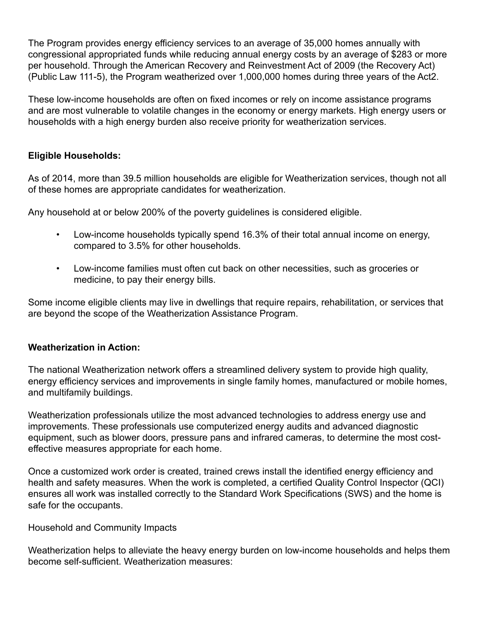The Program provides energy efficiency services to an average of 35,000 homes annually with congressional appropriated funds while reducing annual energy costs by an average of \$283 or more per household. Through the American Recovery and Reinvestment Act of 2009 (the Recovery Act) (Public Law 111-5), the Program weatherized over 1,000,000 homes during three years of the Act2.

These low-income households are often on fixed incomes or rely on income assistance programs and are most vulnerable to volatile changes in the economy or energy markets. High energy users or households with a high energy burden also receive priority for weatherization services.

### **Eligible Households:**

As of 2014, more than 39.5 million households are eligible for Weatherization services, though not all of these homes are appropriate candidates for weatherization.

Any household at or below 200% of the poverty guidelines is considered eligible.

- Low-income households typically spend 16.3% of their total annual income on energy, compared to 3.5% for other households.
- Low-income families must often cut back on other necessities, such as groceries or medicine, to pay their energy bills.

Some income eligible clients may live in dwellings that require repairs, rehabilitation, or services that are beyond the scope of the Weatherization Assistance Program.

### **Weatherization in Action:**

The national Weatherization network offers a streamlined delivery system to provide high quality, energy efficiency services and improvements in single family homes, manufactured or mobile homes, and multifamily buildings.

Weatherization professionals utilize the most advanced technologies to address energy use and improvements. These professionals use computerized energy audits and advanced diagnostic equipment, such as blower doors, pressure pans and infrared cameras, to determine the most costeffective measures appropriate for each home.

Once a customized work order is created, trained crews install the identified energy efficiency and health and safety measures. When the work is completed, a certified Quality Control Inspector (QCI) ensures all work was installed correctly to the Standard Work Specifications (SWS) and the home is safe for the occupants.

### Household and Community Impacts

Weatherization helps to alleviate the heavy energy burden on low-income households and helps them become self-sufficient. Weatherization measures: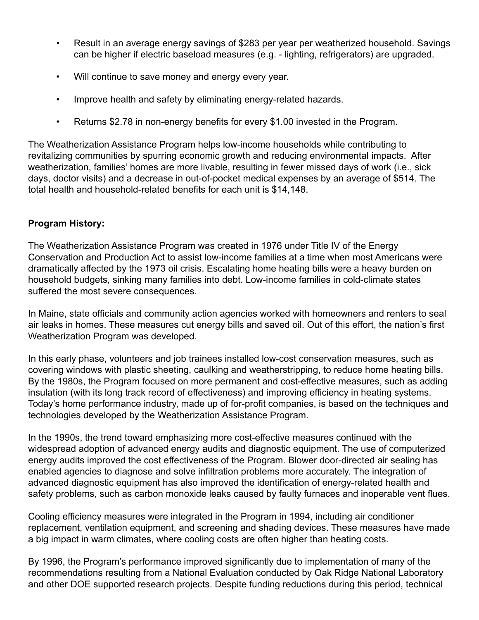- Result in an average energy savings of \$283 per year per weatherized household. Savings can be higher if electric baseload measures (e.g. - lighting, refrigerators) are upgraded.
- Will continue to save money and energy every year.
- Improve health and safety by eliminating energy-related hazards.
- Returns \$2.78 in non-energy benefits for every \$1.00 invested in the Program.

The Weatherization Assistance Program helps low-income households while contributing to revitalizing communities by spurring economic growth and reducing environmental impacts. After weatherization, families' homes are more livable, resulting in fewer missed days of work (i.e., sick days, doctor visits) and a decrease in out-of-pocket medical expenses by an average of \$514. The total health and household-related benefits for each unit is \$14,148.

### **Program History:**

The Weatherization Assistance Program was created in 1976 under Title IV of the Energy Conservation and Production Act to assist low-income families at a time when most Americans were dramatically affected by the 1973 oil crisis. Escalating home heating bills were a heavy burden on household budgets, sinking many families into debt. Low-income families in cold-climate states suffered the most severe consequences.

In Maine, state officials and community action agencies worked with homeowners and renters to seal air leaks in homes. These measures cut energy bills and saved oil. Out of this effort, the nation's first Weatherization Program was developed.

In this early phase, volunteers and job trainees installed low-cost conservation measures, such as covering windows with plastic sheeting, caulking and weatherstripping, to reduce home heating bills. By the 1980s, the Program focused on more permanent and cost-effective measures, such as adding insulation (with its long track record of effectiveness) and improving efficiency in heating systems. Today's home performance industry, made up of for-profit companies, is based on the techniques and technologies developed by the Weatherization Assistance Program.

In the 1990s, the trend toward emphasizing more cost-effective measures continued with the widespread adoption of advanced energy audits and diagnostic equipment. The use of computerized energy audits improved the cost effectiveness of the Program. Blower door-directed air sealing has enabled agencies to diagnose and solve infiltration problems more accurately. The integration of advanced diagnostic equipment has also improved the identification of energy-related health and safety problems, such as carbon monoxide leaks caused by faulty furnaces and inoperable vent flues.

Cooling efficiency measures were integrated in the Program in 1994, including air conditioner replacement, ventilation equipment, and screening and shading devices. These measures have made a big impact in warm climates, where cooling costs are often higher than heating costs.

By 1996, the Program's performance improved significantly due to implementation of many of the recommendations resulting from a National Evaluation conducted by Oak Ridge National Laboratory and other DOE supported research projects. Despite funding reductions during this period, technical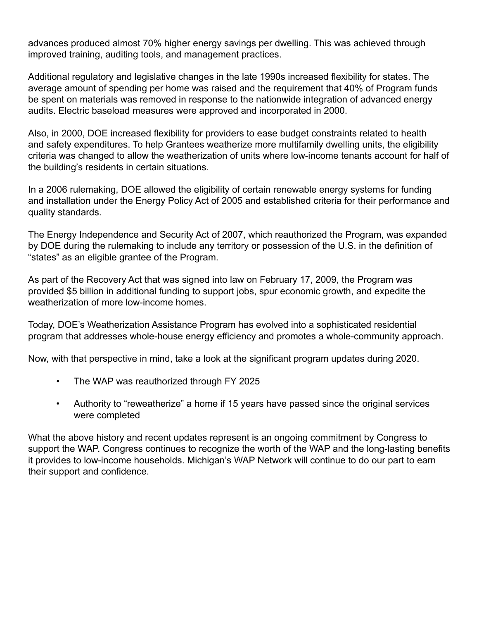advances produced almost 70% higher energy savings per dwelling. This was achieved through improved training, auditing tools, and management practices.

Additional regulatory and legislative changes in the late 1990s increased flexibility for states. The average amount of spending per home was raised and the requirement that 40% of Program funds be spent on materials was removed in response to the nationwide integration of advanced energy audits. Electric baseload measures were approved and incorporated in 2000.

Also, in 2000, DOE increased flexibility for providers to ease budget constraints related to health and safety expenditures. To help Grantees weatherize more multifamily dwelling units, the eligibility criteria was changed to allow the weatherization of units where low-income tenants account for half of the building's residents in certain situations.

In a 2006 rulemaking, DOE allowed the eligibility of certain renewable energy systems for funding and installation under the Energy Policy Act of 2005 and established criteria for their performance and quality standards.

The Energy Independence and Security Act of 2007, which reauthorized the Program, was expanded by DOE during the rulemaking to include any territory or possession of the U.S. in the definition of "states" as an eligible grantee of the Program.

As part of the Recovery Act that was signed into law on February 17, 2009, the Program was provided \$5 billion in additional funding to support jobs, spur economic growth, and expedite the weatherization of more low-income homes.

Today, DOE's Weatherization Assistance Program has evolved into a sophisticated residential program that addresses whole-house energy efficiency and promotes a whole-community approach.

Now, with that perspective in mind, take a look at the significant program updates during 2020.

- The WAP was reauthorized through FY 2025
- Authority to "reweatherize" a home if 15 years have passed since the original services were completed

What the above history and recent updates represent is an ongoing commitment by Congress to support the WAP. Congress continues to recognize the worth of the WAP and the long-lasting benefits it provides to low-income households. Michigan's WAP Network will continue to do our part to earn their support and confidence.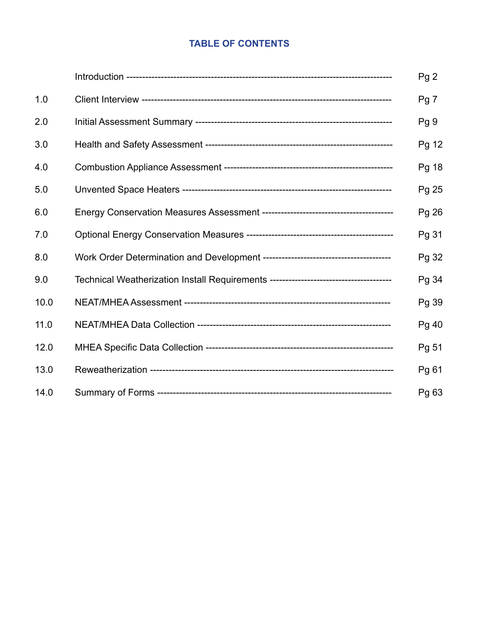### **TABLE OF CONTENTS**

|      |                                                                                   | Pg <sub>2</sub> |
|------|-----------------------------------------------------------------------------------|-----------------|
| 1.0  |                                                                                   | Pg <sub>7</sub> |
| 2.0  |                                                                                   | Pg <sub>9</sub> |
| 3.0  |                                                                                   | Pg 12           |
| 4.0  |                                                                                   | Pg 18           |
| 5.0  |                                                                                   | Pg 25           |
| 6.0  |                                                                                   | Pg 26           |
| 7.0  |                                                                                   | Pg 31           |
| 8.0  |                                                                                   | Pg 32           |
| 9.0  | Technical Weatherization Install Requirements ----------------------------------- | Pg 34           |
| 10.0 |                                                                                   | Pg 39           |
| 11.0 |                                                                                   | Pg 40           |
| 12.0 |                                                                                   | Pg 51           |
| 13.0 |                                                                                   | Pg 61           |
| 14.0 |                                                                                   | Pg 63           |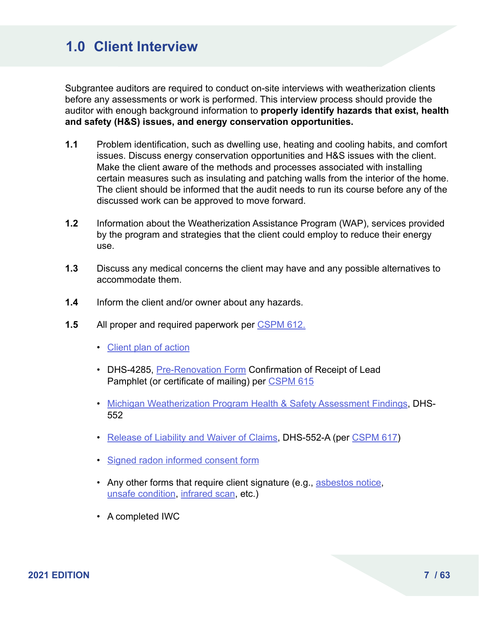## **1.0 Client Interview**

Subgrantee auditors are required to conduct on-site interviews with weatherization clients before any assessments or work is performed. This interview process should provide the auditor with enough background information to **properly identify hazards that exist, health and safety (H&S) issues, and energy conservation opportunities.** 

- **1.1** Problem identification, such as dwelling use, heating and cooling habits, and comfort issues. Discuss energy conservation opportunities and H&S issues with the client. Make the client aware of the methods and processes associated with installing certain measures such as insulating and patching walls from the interior of the home. The client should be informed that the audit needs to run its course before any of the discussed work can be approved to move forward.
- **1.2** Information about the Weatherization Assistance Program (WAP), services provided by the program and strategies that the client could employ to reduce their energy use.
- **1.3** Discuss any medical concerns the client may have and any possible alternatives to accommodate them.
- **1.4** Inform the client and/or owner about any hazards.
- **1.5** All proper and required paperwork per [CSPM 612.](https://www.michigan.gov/documents/dhs/CSPM_600_Series_215133_7.pdf#page=79)
	- [Client plan of action](https://www.michigan.gov/documents/dhs/CSPM_600_Series_215133_7.pdf#page=171)
	- DHS-4285, [Pre-Renovation Form](https://www.michigan.gov/documents/dhs/CSPM_600_Series_215133_7.pdf#page=160) Confirmation of Receipt of Lead Pamphlet (or certificate of mailing) per [CSPM 615](https://www.michigan.gov/documents/dhs/CSPM_600_Series_215133_7.pdf#page=95)
	- [Michigan Weatherization Program Health & Safety Assessment Findings](https://www.michigan.gov/documents/dhs/CSPM_600_Series_215133_7.pdf#page=169), DHS-552
	- [Release of Liability and Waiver of Claims](https://www.michigan.gov/documents/dhs/CSPM_600_Series_215133_7.pdf#page=168), DHS-552-A (per [CSPM 617](https://www.michigan.gov/documents/dhs/CSPM_600_Series_215133_7.pdf#page=99))
	- [Signed radon informed consent form](https://www.michigan.gov/documents/dhs/CSPM_600_Series_215133_7.pdf#page=167)
	- Any other forms that require client signature (e.g., [asbestos notice](https://www.michigan.gov/documents/dhs/CSPM_600_Series_215133_7.pdf#page=165), [unsafe condition,](https://www.michigan.gov/documents/dhs/CSPM_600_Series_215133_7.pdf#page=163) [infrared scan,](https://www.michigan.gov/documents/dhs/CSPM_600_Series_215133_7.pdf#page=162) etc.)
	- A completed IWC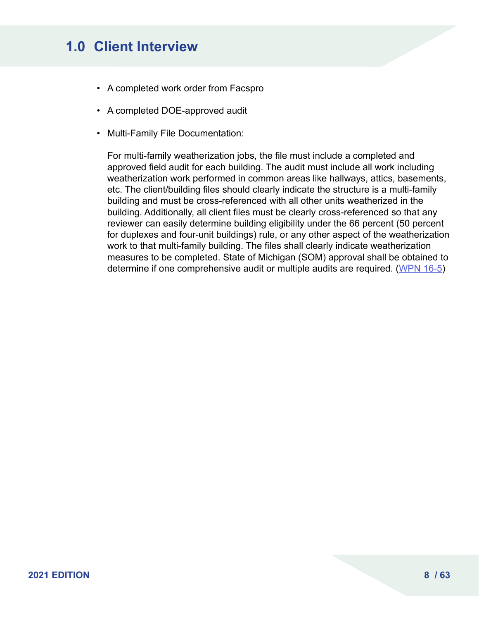# **1.0 Client Interview**

- A completed work order from Facspro
- A completed DOE-approved audit
- Multi-Family File Documentation:

For multi-family weatherization jobs, the file must include a completed and approved field audit for each building. The audit must include all work including weatherization work performed in common areas like hallways, attics, basements, etc. The client/building files should clearly indicate the structure is a multi-family building and must be cross-referenced with all other units weatherized in the building. Additionally, all client files must be clearly cross-referenced so that any reviewer can easily determine building eligibility under the 66 percent (50 percent for duplexes and four-unit buildings) rule, or any other aspect of the weatherization work to that multi-family building. The files shall clearly indicate weatherization measures to be completed. State of Michigan (SOM) approval shall be obtained to determine if one comprehensive audit or multiple audits are required. ([WPN 16-5](https://www.energy.gov/sites/prod/files/2016/05/f31/WPN%2016-5%205%205%2016_0.pdf))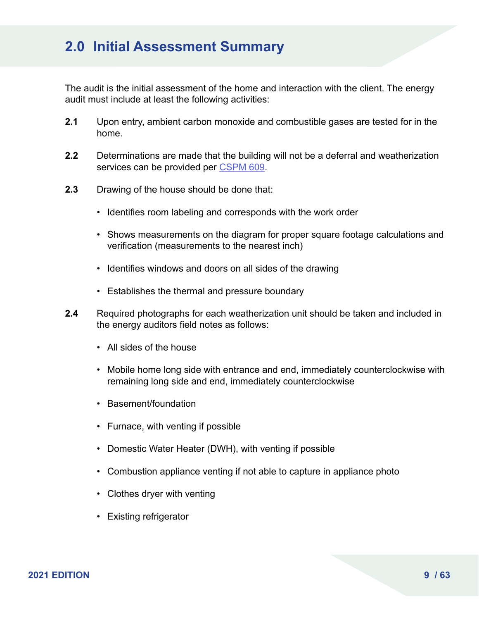### **2.0 Initial Assessment Summary**

The audit is the initial assessment of the home and interaction with the client. The energy audit must include at least the following activities:

- **2.1** Upon entry, ambient carbon monoxide and combustible gases are tested for in the home.
- **2.2** Determinations are made that the building will not be a deferral and weatherization services can be provided per [CSPM 609](https://www.michigan.gov/documents/dhs/CSPM_600_Series_215133_7.pdf#page=69).
- **2.3** Drawing of the house should be done that:
	- Identifies room labeling and corresponds with the work order
	- Shows measurements on the diagram for proper square footage calculations and verification (measurements to the nearest inch)
	- Identifies windows and doors on all sides of the drawing
	- Establishes the thermal and pressure boundary
- **2.4** Required photographs for each weatherization unit should be taken and included in the energy auditors field notes as follows:
	- All sides of the house
	- Mobile home long side with entrance and end, immediately counterclockwise with remaining long side and end, immediately counterclockwise
	- Basement/foundation
	- Furnace, with venting if possible
	- Domestic Water Heater (DWH), with venting if possible
	- Combustion appliance venting if not able to capture in appliance photo
	- Clothes dryer with venting
	- Existing refrigerator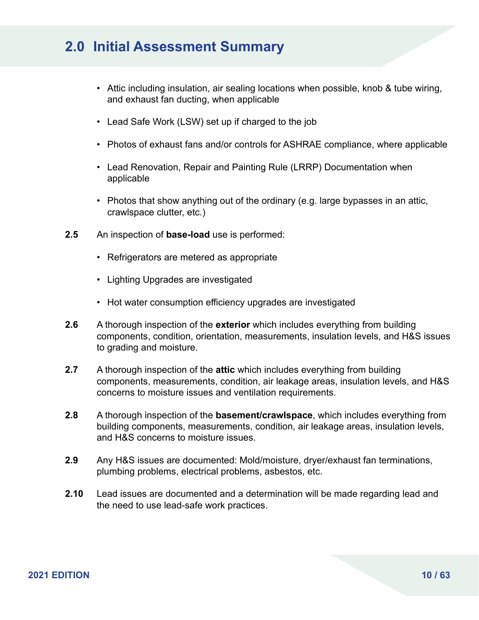### **2.0 Initial Assessment Summary**

- Attic including insulation, air sealing locations when possible, knob & tube wiring, and exhaust fan ducting, when applicable
- Lead Safe Work (LSW) set up if charged to the job
- Photos of exhaust fans and/or controls for ASHRAE compliance, where applicable
- Lead Renovation, Repair and Painting Rule (LRRP) Documentation when applicable
- Photos that show anything out of the ordinary (e.g. large bypasses in an attic, crawlspace clutter, etc.)
- **2.5** An inspection of **base-load** use is performed:
	- Refrigerators are metered as appropriate
	- Lighting Upgrades are investigated
	- Hot water consumption efficiency upgrades are investigated
- **2.6** A thorough inspection of the **exterior** which includes everything from building components, condition, orientation, measurements, insulation levels, and H&S issues to grading and moisture.
- **2.7** A thorough inspection of the **attic** which includes everything from building components, measurements, condition, air leakage areas, insulation levels, and H&S concerns to moisture issues and ventilation requirements.
- **2.8** A thorough inspection of the **basement/crawlspace**, which includes everything from building components, measurements, condition, air leakage areas, insulation levels, and H&S concerns to moisture issues.
- **2.9** Any H&S issues are documented: Mold/moisture, dryer/exhaust fan terminations, plumbing problems, electrical problems, asbestos, etc.
- **2.10** Lead issues are documented and a determination will be made regarding lead and the need to use lead-safe work practices.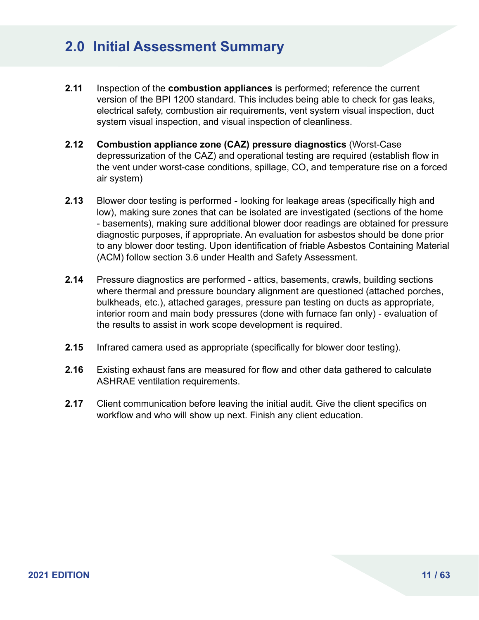### **2.0 Initial Assessment Summary**

- **2.11** Inspection of the **combustion appliances** is performed; reference the current version of the BPI 1200 standard. This includes being able to check for gas leaks, electrical safety, combustion air requirements, vent system visual inspection, duct system visual inspection, and visual inspection of cleanliness.
- **2.12 Combustion appliance zone (CAZ) pressure diagnostics** (Worst-Case depressurization of the CAZ) and operational testing are required (establish flow in the vent under worst-case conditions, spillage, CO, and temperature rise on a forced air system)
- **2.13** Blower door testing is performed looking for leakage areas (specifically high and low), making sure zones that can be isolated are investigated (sections of the home - basements), making sure additional blower door readings are obtained for pressure diagnostic purposes, if appropriate. An evaluation for asbestos should be done prior to any blower door testing. Upon identification of friable Asbestos Containing Material (ACM) follow section 3.6 under Health and Safety Assessment.
- **2.14** Pressure diagnostics are performed attics, basements, crawls, building sections where thermal and pressure boundary alignment are questioned (attached porches, bulkheads, etc.), attached garages, pressure pan testing on ducts as appropriate, interior room and main body pressures (done with furnace fan only) - evaluation of the results to assist in work scope development is required.
- **2.15** Infrared camera used as appropriate (specifically for blower door testing).
- **2.16** Existing exhaust fans are measured for flow and other data gathered to calculate ASHRAE ventilation requirements.
- **2.17** Client communication before leaving the initial audit. Give the client specifics on workflow and who will show up next. Finish any client education.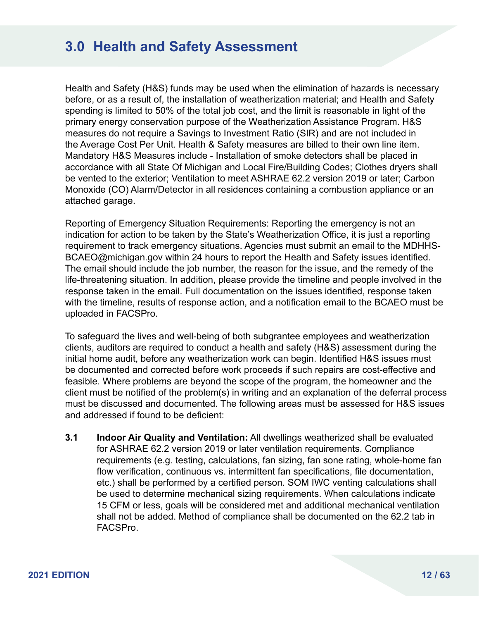Health and Safety (H&S) funds may be used when the elimination of hazards is necessary before, or as a result of, the installation of weatherization material; and Health and Safety spending is limited to 50% of the total job cost, and the limit is reasonable in light of the primary energy conservation purpose of the Weatherization Assistance Program. H&S measures do not require a Savings to Investment Ratio (SIR) and are not included in the Average Cost Per Unit. Health & Safety measures are billed to their own line item. Mandatory H&S Measures include - Installation of smoke detectors shall be placed in accordance with all State Of Michigan and Local Fire/Building Codes; Clothes dryers shall be vented to the exterior; Ventilation to meet ASHRAE 62.2 version 2019 or later; Carbon Monoxide (CO) Alarm/Detector in all residences containing a combustion appliance or an attached garage.

Reporting of Emergency Situation Requirements: Reporting the emergency is not an indication for action to be taken by the State's Weatherization Office, it is just a reporting requirement to track emergency situations. Agencies must submit an email to the MDHHS-BCAEO@michigan.gov within 24 hours to report the Health and Safety issues identified. The email should include the job number, the reason for the issue, and the remedy of the life-threatening situation. In addition, please provide the timeline and people involved in the response taken in the email. Full documentation on the issues identified, response taken with the timeline, results of response action, and a notification email to the BCAEO must be uploaded in FACSPro.

To safeguard the lives and well-being of both subgrantee employees and weatherization clients, auditors are required to conduct a health and safety (H&S) assessment during the initial home audit, before any weatherization work can begin. Identified H&S issues must be documented and corrected before work proceeds if such repairs are cost-effective and feasible. Where problems are beyond the scope of the program, the homeowner and the client must be notified of the problem(s) in writing and an explanation of the deferral process must be discussed and documented. The following areas must be assessed for H&S issues and addressed if found to be deficient:

**3.1 Indoor Air Quality and Ventilation:** All dwellings weatherized shall be evaluated for ASHRAE 62.2 version 2019 or later ventilation requirements. Compliance requirements (e.g. testing, calculations, fan sizing, fan sone rating, whole-home fan flow verification, continuous vs. intermittent fan specifications, file documentation, etc.) shall be performed by a certified person. SOM IWC venting calculations shall be used to determine mechanical sizing requirements. When calculations indicate 15 CFM or less, goals will be considered met and additional mechanical ventilation shall not be added. Method of compliance shall be documented on the 62.2 tab in FACSPro.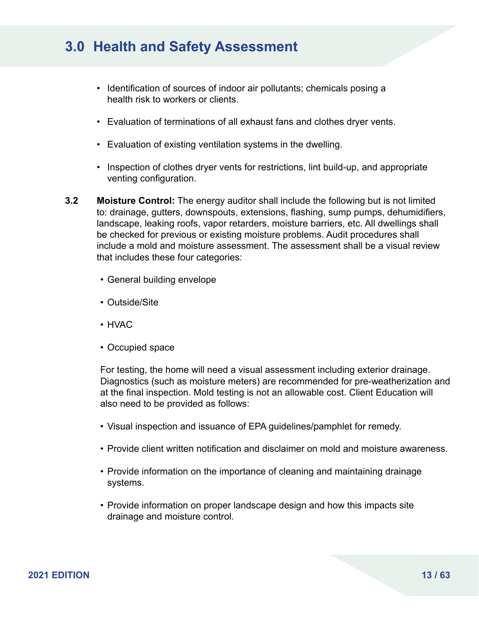- Identification of sources of indoor air pollutants; chemicals posing a health risk to workers or clients.
- Evaluation of terminations of all exhaust fans and clothes dryer vents.
- Evaluation of existing ventilation systems in the dwelling.
- Inspection of clothes dryer vents for restrictions, lint build-up, and appropriate venting configuration.
- **3.2 Moisture Control:** The energy auditor shall include the following but is not limited to: drainage, gutters, downspouts, extensions, flashing, sump pumps, dehumidifiers, landscape, leaking roofs, vapor retarders, moisture barriers, etc. All dwellings shall be checked for previous or existing moisture problems. Audit procedures shall include a mold and moisture assessment. The assessment shall be a visual review that includes these four categories:
	- General building envelope
	- Outside/Site
	- HVAC
	- Occupied space

For testing, the home will need a visual assessment including exterior drainage. Diagnostics (such as moisture meters) are recommended for pre-weatherization and at the final inspection. Mold testing is not an allowable cost. Client Education will also need to be provided as follows:

- Visual inspection and issuance of EPA guidelines/pamphlet for remedy.
- Provide client written notification and disclaimer on mold and moisture awareness.
- Provide information on the importance of cleaning and maintaining drainage systems.
- Provide information on proper landscape design and how this impacts site drainage and moisture control.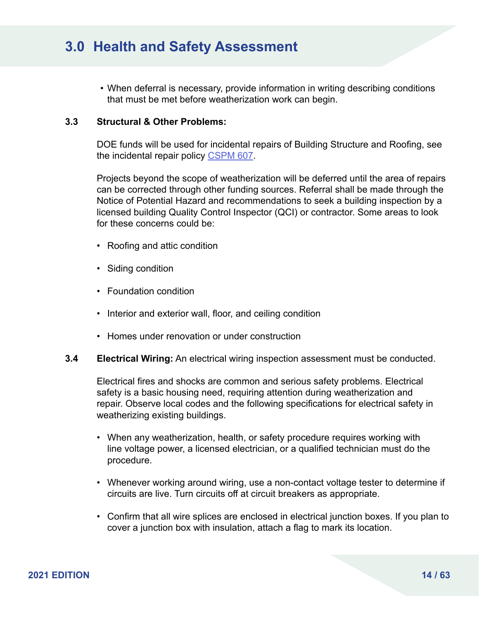• When deferral is necessary, provide information in writing describing conditions that must be met before weatherization work can begin.

### **3.3 Structural & Other Problems:**

DOE funds will be used for incidental repairs of Building Structure and Roofing, see the incidental repair policy [CSPM 607.](https://www.michigan.gov/documents/dhs/CSPM_600_Series_215133_7.pdf#page=47)

Projects beyond the scope of weatherization will be deferred until the area of repairs can be corrected through other funding sources. Referral shall be made through the Notice of Potential Hazard and recommendations to seek a building inspection by a licensed building Quality Control Inspector (QCI) or contractor. Some areas to look for these concerns could be:

- Roofing and attic condition
- Siding condition
- Foundation condition
- Interior and exterior wall, floor, and ceiling condition
- Homes under renovation or under construction
- **3.4 Electrical Wiring:** An electrical wiring inspection assessment must be conducted.

Electrical fires and shocks are common and serious safety problems. Electrical safety is a basic housing need, requiring attention during weatherization and repair. Observe local codes and the following specifications for electrical safety in weatherizing existing buildings.

- When any weatherization, health, or safety procedure requires working with line voltage power, a licensed electrician, or a qualified technician must do the procedure.
- Whenever working around wiring, use a non-contact voltage tester to determine if circuits are live. Turn circuits off at circuit breakers as appropriate.
- Confirm that all wire splices are enclosed in electrical junction boxes. If you plan to cover a junction box with insulation, attach a flag to mark its location.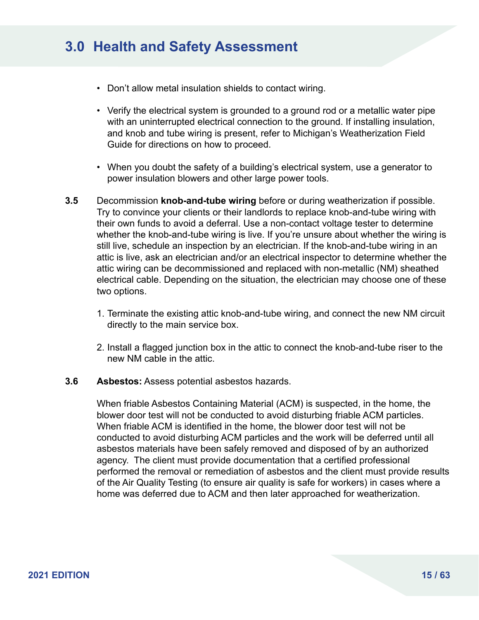- Don't allow metal insulation shields to contact wiring.
- Verify the electrical system is grounded to a ground rod or a metallic water pipe with an uninterrupted electrical connection to the ground. If installing insulation, and knob and tube wiring is present, refer to Michigan's Weatherization Field Guide for directions on how to proceed.
- When you doubt the safety of a building's electrical system, use a generator to power insulation blowers and other large power tools.
- **3.5** Decommission **knob-and-tube wiring** before or during weatherization if possible. Try to convince your clients or their landlords to replace knob-and-tube wiring with their own funds to avoid a deferral. Use a non-contact voltage tester to determine whether the knob-and-tube wiring is live. If you're unsure about whether the wiring is still live, schedule an inspection by an electrician. If the knob-and-tube wiring in an attic is live, ask an electrician and/or an electrical inspector to determine whether the attic wiring can be decommissioned and replaced with non-metallic (NM) sheathed electrical cable. Depending on the situation, the electrician may choose one of these two options.
	- 1. Terminate the existing attic knob-and-tube wiring, and connect the new NM circuit directly to the main service box.
	- 2. Install a flagged junction box in the attic to connect the knob-and-tube riser to the new NM cable in the attic.

#### **3.6 Asbestos:** Assess potential asbestos hazards.

When friable Asbestos Containing Material (ACM) is suspected, in the home, the blower door test will not be conducted to avoid disturbing friable ACM particles. When friable ACM is identified in the home, the blower door test will not be conducted to avoid disturbing ACM particles and the work will be deferred until all asbestos materials have been safely removed and disposed of by an authorized agency. The client must provide documentation that a certified professional performed the removal or remediation of asbestos and the client must provide results of the Air Quality Testing (to ensure air quality is safe for workers) in cases where a home was deferred due to ACM and then later approached for weatherization.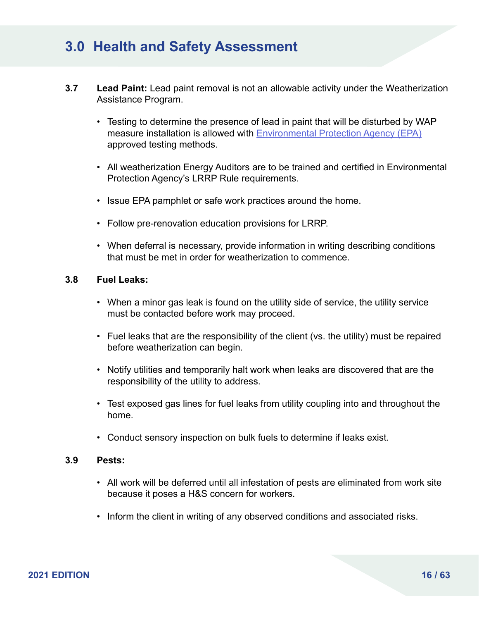- **3.7 Lead Paint:** Lead paint removal is not an allowable activity under the Weatherization Assistance Program.
	- Testing to determine the presence of lead in paint that will be disturbed by WAP measure installation is allowed with **[Environmental Protection Agency \(EPA\)](https://www.epa.gov/lead/lead-test-kits)** approved testing methods.
	- All weatherization Energy Auditors are to be trained and certified in Environmental Protection Agency's LRRP Rule requirements.
	- Issue EPA pamphlet or safe work practices around the home.
	- Follow pre-renovation education provisions for LRRP.
	- When deferral is necessary, provide information in writing describing conditions that must be met in order for weatherization to commence.

### **3.8 Fuel Leaks:**

- When a minor gas leak is found on the utility side of service, the utility service must be contacted before work may proceed.
- Fuel leaks that are the responsibility of the client (vs. the utility) must be repaired before weatherization can begin.
- Notify utilities and temporarily halt work when leaks are discovered that are the responsibility of the utility to address.
- Test exposed gas lines for fuel leaks from utility coupling into and throughout the home.
- Conduct sensory inspection on bulk fuels to determine if leaks exist.

#### **3.9 Pests:**

- All work will be deferred until all infestation of pests are eliminated from work site because it poses a H&S concern for workers.
- Inform the client in writing of any observed conditions and associated risks.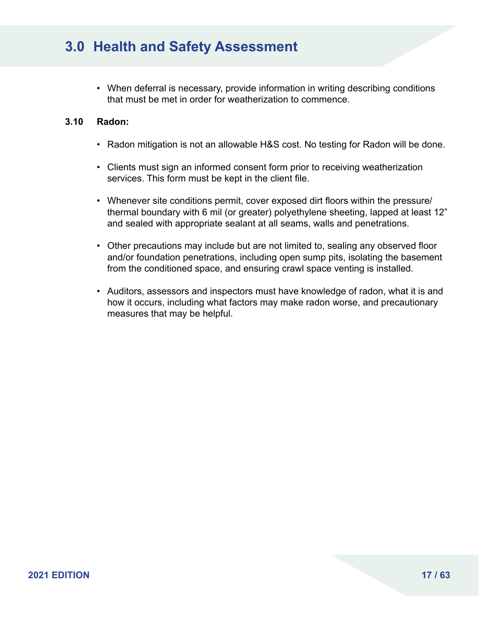• When deferral is necessary, provide information in writing describing conditions that must be met in order for weatherization to commence.

### **3.10 Radon:**

- Radon mitigation is not an allowable H&S cost. No testing for Radon will be done.
- Clients must sign an informed consent form prior to receiving weatherization services. This form must be kept in the client file.
- Whenever site conditions permit, cover exposed dirt floors within the pressure/ thermal boundary with 6 mil (or greater) polyethylene sheeting, lapped at least 12" and sealed with appropriate sealant at all seams, walls and penetrations.
- Other precautions may include but are not limited to, sealing any observed floor and/or foundation penetrations, including open sump pits, isolating the basement from the conditioned space, and ensuring crawl space venting is installed.
- Auditors, assessors and inspectors must have knowledge of radon, what it is and how it occurs, including what factors may make radon worse, and precautionary measures that may be helpful.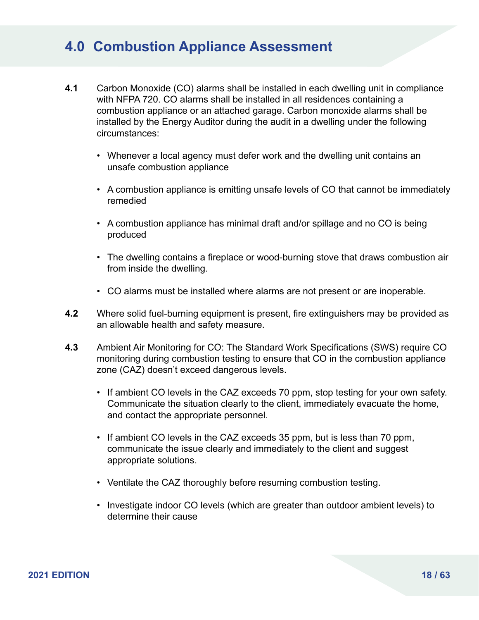- **4.1** Carbon Monoxide (CO) alarms shall be installed in each dwelling unit in compliance with NFPA 720. CO alarms shall be installed in all residences containing a combustion appliance or an attached garage. Carbon monoxide alarms shall be installed by the Energy Auditor during the audit in a dwelling under the following circumstances:
	- Whenever a local agency must defer work and the dwelling unit contains an unsafe combustion appliance
	- A combustion appliance is emitting unsafe levels of CO that cannot be immediately remedied
	- A combustion appliance has minimal draft and/or spillage and no CO is being produced
	- The dwelling contains a fireplace or wood-burning stove that draws combustion air from inside the dwelling.
	- CO alarms must be installed where alarms are not present or are inoperable.
- **4.2** Where solid fuel-burning equipment is present, fire extinguishers may be provided as an allowable health and safety measure.
- **4.3** Ambient Air Monitoring for CO: The Standard Work Specifications (SWS) require CO monitoring during combustion testing to ensure that CO in the combustion appliance zone (CAZ) doesn't exceed dangerous levels.
	- If ambient CO levels in the CAZ exceeds 70 ppm, stop testing for your own safety. Communicate the situation clearly to the client, immediately evacuate the home, and contact the appropriate personnel.
	- If ambient CO levels in the CAZ exceeds 35 ppm, but is less than 70 ppm, communicate the issue clearly and immediately to the client and suggest appropriate solutions.
	- Ventilate the CAZ thoroughly before resuming combustion testing.
	- Investigate indoor CO levels (which are greater than outdoor ambient levels) to determine their cause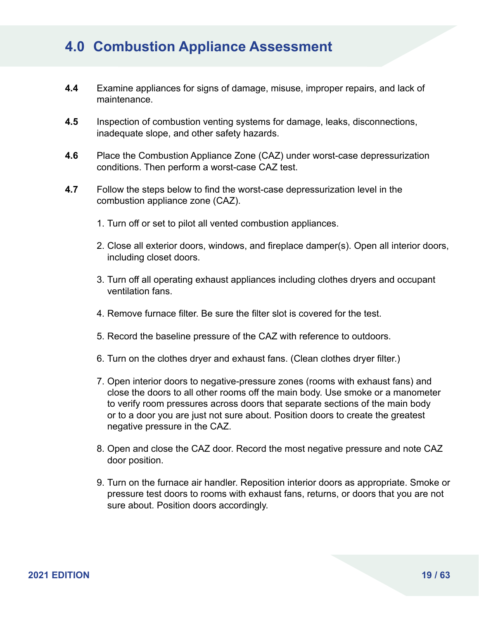- **4.4** Examine appliances for signs of damage, misuse, improper repairs, and lack of maintenance.
- **4.5** Inspection of combustion venting systems for damage, leaks, disconnections, inadequate slope, and other safety hazards.
- **4.6** Place the Combustion Appliance Zone (CAZ) under worst-case depressurization conditions. Then perform a worst-case CAZ test.
- **4.7** Follow the steps below to find the worst-case depressurization level in the combustion appliance zone (CAZ).
	- 1. Turn off or set to pilot all vented combustion appliances.
	- 2. Close all exterior doors, windows, and fireplace damper(s). Open all interior doors, including closet doors.
	- 3. Turn off all operating exhaust appliances including clothes dryers and occupant ventilation fans.
	- 4. Remove furnace filter. Be sure the filter slot is covered for the test.
	- 5. Record the baseline pressure of the CAZ with reference to outdoors.
	- 6. Turn on the clothes dryer and exhaust fans. (Clean clothes dryer filter.)
	- 7. Open interior doors to negative-pressure zones (rooms with exhaust fans) and close the doors to all other rooms off the main body. Use smoke or a manometer to verify room pressures across doors that separate sections of the main body or to a door you are just not sure about. Position doors to create the greatest negative pressure in the CAZ.
	- 8. Open and close the CAZ door. Record the most negative pressure and note CAZ door position.
	- 9. Turn on the furnace air handler. Reposition interior doors as appropriate. Smoke or pressure test doors to rooms with exhaust fans, returns, or doors that you are not sure about. Position doors accordingly.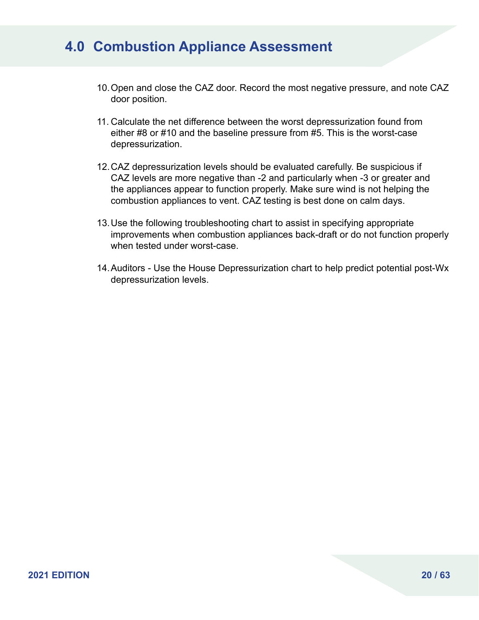- 10.Open and close the CAZ door. Record the most negative pressure, and note CAZ door position.
- 11. Calculate the net difference between the worst depressurization found from either #8 or #10 and the baseline pressure from #5. This is the worst-case depressurization.
- 12.CAZ depressurization levels should be evaluated carefully. Be suspicious if CAZ levels are more negative than -2 and particularly when -3 or greater and the appliances appear to function properly. Make sure wind is not helping the combustion appliances to vent. CAZ testing is best done on calm days.
- 13.Use the following troubleshooting chart to assist in specifying appropriate improvements when combustion appliances back-draft or do not function properly when tested under worst-case.
- 14.Auditors Use the House Depressurization chart to help predict potential post-Wx depressurization levels.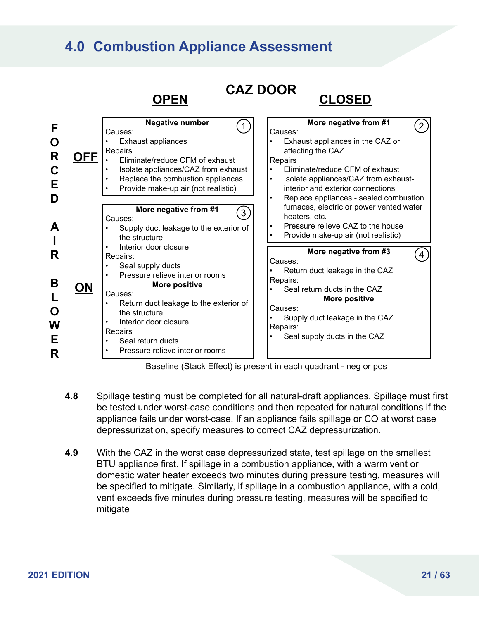

Baseline (Stack Effect) is present in each quadrant - neg or pos

- **4.8** Spillage testing must be completed for all natural-draft appliances. Spillage must first be tested under worst-case conditions and then repeated for natural conditions if the appliance fails under worst-case. If an appliance fails spillage or CO at worst case depressurization, specify measures to correct CAZ depressurization.
- **4.9** With the CAZ in the worst case depressurized state, test spillage on the smallest BTU appliance first. If spillage in a combustion appliance, with a warm vent or domestic water heater exceeds two minutes during pressure testing, measures will be specified to mitigate. Similarly, if spillage in a combustion appliance, with a cold, vent exceeds five minutes during pressure testing, measures will be specified to mitigate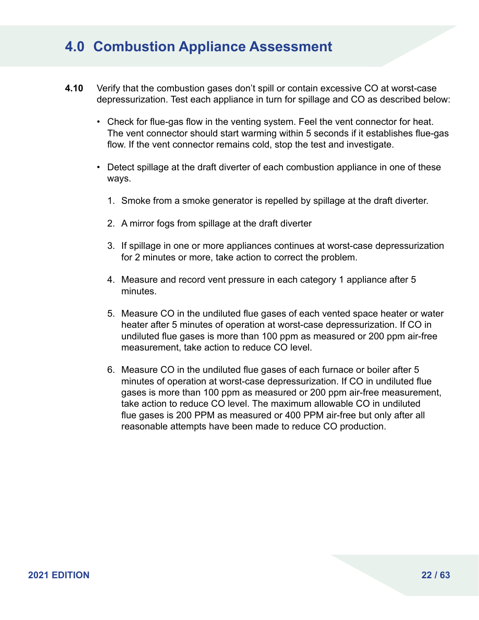- **4.10** Verify that the combustion gases don't spill or contain excessive CO at worst-case depressurization. Test each appliance in turn for spillage and CO as described below:
	- Check for flue-gas flow in the venting system. Feel the vent connector for heat. The vent connector should start warming within 5 seconds if it establishes flue-gas flow. If the vent connector remains cold, stop the test and investigate.
	- Detect spillage at the draft diverter of each combustion appliance in one of these ways.
		- 1. Smoke from a smoke generator is repelled by spillage at the draft diverter.
		- 2. A mirror fogs from spillage at the draft diverter
		- 3. If spillage in one or more appliances continues at worst-case depressurization for 2 minutes or more, take action to correct the problem.
		- 4. Measure and record vent pressure in each category 1 appliance after 5 minutes.
		- 5. Measure CO in the undiluted flue gases of each vented space heater or water heater after 5 minutes of operation at worst-case depressurization. If CO in undiluted flue gases is more than 100 ppm as measured or 200 ppm air-free measurement, take action to reduce CO level.
		- 6. Measure CO in the undiluted flue gases of each furnace or boiler after 5 minutes of operation at worst-case depressurization. If CO in undiluted flue gases is more than 100 ppm as measured or 200 ppm air-free measurement, take action to reduce CO level. The maximum allowable CO in undiluted flue gases is 200 PPM as measured or 400 PPM air-free but only after all reasonable attempts have been made to reduce CO production.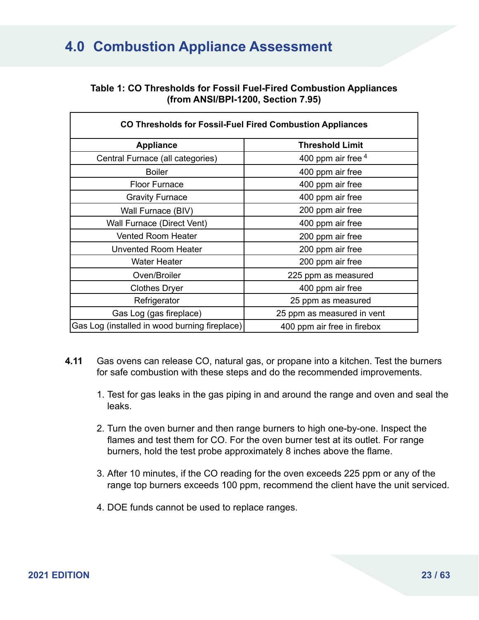### **Table 1: CO Thresholds for Fossil Fuel-Fired Combustion Appliances (from ANSI/BPI-1200, Section 7.95)**

| <b>CO Thresholds for Fossil-Fuel Fired Combustion Appliances</b> |                             |  |  |  |  |
|------------------------------------------------------------------|-----------------------------|--|--|--|--|
| <b>Appliance</b>                                                 | <b>Threshold Limit</b>      |  |  |  |  |
| Central Furnace (all categories)                                 | 400 ppm air free $4$        |  |  |  |  |
| <b>Boiler</b>                                                    | 400 ppm air free            |  |  |  |  |
| <b>Floor Furnace</b>                                             | 400 ppm air free            |  |  |  |  |
| <b>Gravity Furnace</b>                                           | 400 ppm air free            |  |  |  |  |
| Wall Furnace (BIV)                                               | 200 ppm air free            |  |  |  |  |
| Wall Furnace (Direct Vent)                                       | 400 ppm air free            |  |  |  |  |
| <b>Vented Room Heater</b>                                        | 200 ppm air free            |  |  |  |  |
| <b>Unvented Room Heater</b>                                      | 200 ppm air free            |  |  |  |  |
| <b>Water Heater</b>                                              | 200 ppm air free            |  |  |  |  |
| Oven/Broiler                                                     | 225 ppm as measured         |  |  |  |  |
| Clothes Dryer                                                    | 400 ppm air free            |  |  |  |  |
| Refrigerator                                                     | 25 ppm as measured          |  |  |  |  |
| Gas Log (gas fireplace)                                          | 25 ppm as measured in vent  |  |  |  |  |
| Gas Log (installed in wood burning fireplace)                    | 400 ppm air free in firebox |  |  |  |  |

- **4.11** Gas ovens can release CO, natural gas, or propane into a kitchen. Test the burners for safe combustion with these steps and do the recommended improvements.
	- 1. Test for gas leaks in the gas piping in and around the range and oven and seal the leaks.
	- 2. Turn the oven burner and then range burners to high one-by-one. Inspect the flames and test them for CO. For the oven burner test at its outlet. For range burners, hold the test probe approximately 8 inches above the flame.
	- 3. After 10 minutes, if the CO reading for the oven exceeds 225 ppm or any of the range top burners exceeds 100 ppm, recommend the client have the unit serviced.
	- 4. DOE funds cannot be used to replace ranges.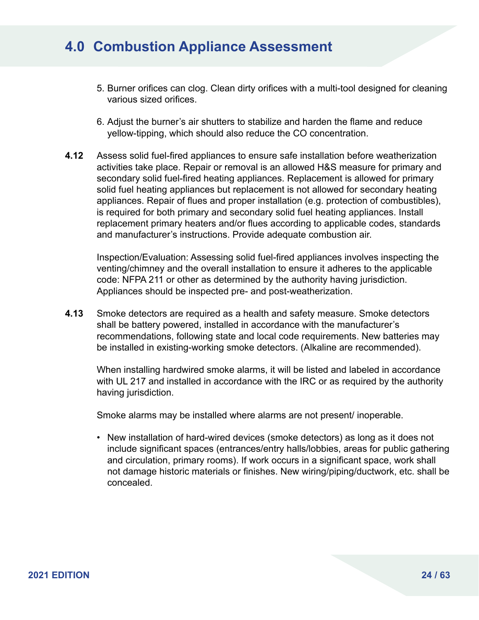- 5. Burner orifices can clog. Clean dirty orifices with a multi-tool designed for cleaning various sized orifices.
- 6. Adjust the burner's air shutters to stabilize and harden the flame and reduce yellow-tipping, which should also reduce the CO concentration.
- **4.12** Assess solid fuel-fired appliances to ensure safe installation before weatherization activities take place. Repair or removal is an allowed H&S measure for primary and secondary solid fuel-fired heating appliances. Replacement is allowed for primary solid fuel heating appliances but replacement is not allowed for secondary heating appliances. Repair of flues and proper installation (e.g. protection of combustibles), is required for both primary and secondary solid fuel heating appliances. Install replacement primary heaters and/or flues according to applicable codes, standards and manufacturer's instructions. Provide adequate combustion air.

Inspection/Evaluation: Assessing solid fuel-fired appliances involves inspecting the venting/chimney and the overall installation to ensure it adheres to the applicable code: NFPA 211 or other as determined by the authority having jurisdiction. Appliances should be inspected pre- and post-weatherization.

**4.13** Smoke detectors are required as a health and safety measure. Smoke detectors shall be battery powered, installed in accordance with the manufacturer's recommendations, following state and local code requirements. New batteries may be installed in existing-working smoke detectors. (Alkaline are recommended).

When installing hardwired smoke alarms, it will be listed and labeled in accordance with UL 217 and installed in accordance with the IRC or as required by the authority having jurisdiction.

Smoke alarms may be installed where alarms are not present/ inoperable.

• New installation of hard-wired devices (smoke detectors) as long as it does not include significant spaces (entrances/entry halls/lobbies, areas for public gathering and circulation, primary rooms). If work occurs in a significant space, work shall not damage historic materials or finishes. New wiring/piping/ductwork, etc. shall be concealed.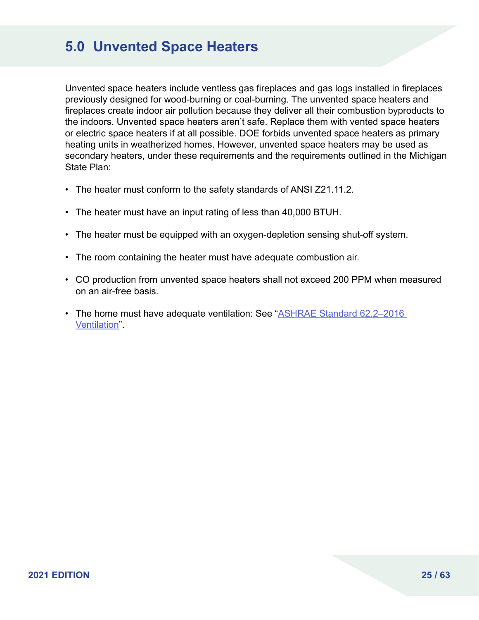### **5.0 Unvented Space Heaters**

Unvented space heaters include ventless gas fireplaces and gas logs installed in fireplaces previously designed for wood-burning or coal-burning. The unvented space heaters and fireplaces create indoor air pollution because they deliver all their combustion byproducts to the indoors. Unvented space heaters aren't safe. Replace them with vented space heaters or electric space heaters if at all possible. DOE forbids unvented space heaters as primary heating units in weatherized homes. However, unvented space heaters may be used as secondary heaters, under these requirements and the requirements outlined in the Michigan State Plan:

- The heater must conform to the safety standards of ANSI Z21.11.2.
- The heater must have an input rating of less than 40,000 BTUH.
- The heater must be equipped with an oxygen-depletion sensing shut-off system.
- The room containing the heater must have adequate combustion air.
- CO production from unvented space heaters shall not exceed 200 PPM when measured on an air-free basis.
- The home must have adequate ventilation: See "ASHRAE Standard 62.2–2016 [Ventilation](https://www.ashrae.org/technical-resources/standards-and-guidelines/standards-addenda/addenda-to-standard-62-2-2016)".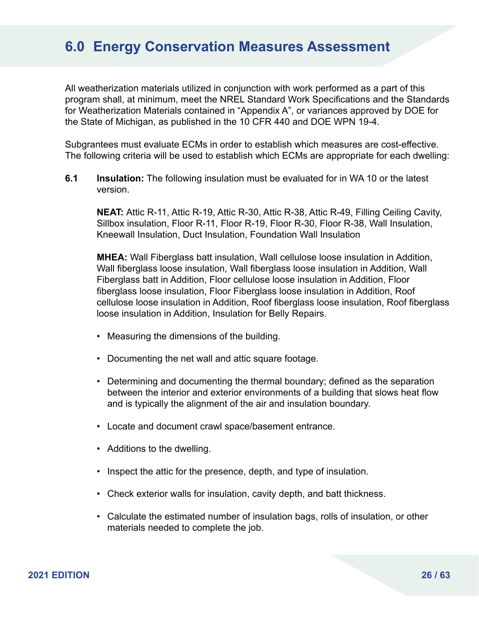All weatherization materials utilized in conjunction with work performed as a part of this program shall, at minimum, meet the NREL Standard Work Specifications and the Standards for Weatherization Materials contained in "Appendix A", or variances approved by DOE for the State of Michigan, as published in the 10 CFR 440 and DOE WPN 19-4.

Subgrantees must evaluate ECMs in order to establish which measures are cost-effective. The following criteria will be used to establish which ECMs are appropriate for each dwelling:

**6.1 Insulation:** The following insulation must be evaluated for in WA 10 or the latest version.

**NEAT:** Attic R-11, Attic R-19, Attic R-30, Attic R-38, Attic R-49, Filling Ceiling Cavity, Sillbox insulation, Floor R-11, Floor R-19, Floor R-30, Floor R-38, Wall Insulation, Kneewall Insulation, Duct Insulation, Foundation Wall Insulation

**MHEA:** Wall Fiberglass batt insulation, Wall cellulose loose insulation in Addition, Wall fiberglass loose insulation, Wall fiberglass loose insulation in Addition, Wall Fiberglass batt in Addition, Floor cellulose loose insulation in Addition, Floor fiberglass loose insulation, Floor Fiberglass loose insulation in Addition, Roof cellulose loose insulation in Addition, Roof fiberglass loose insulation, Roof fiberglass loose insulation in Addition, Insulation for Belly Repairs.

- Measuring the dimensions of the building.
- Documenting the net wall and attic square footage.
- Determining and documenting the thermal boundary; defined as the separation between the interior and exterior environments of a building that slows heat flow and is typically the alignment of the air and insulation boundary.
- Locate and document crawl space/basement entrance.
- Additions to the dwelling.
- Inspect the attic for the presence, depth, and type of insulation.
- Check exterior walls for insulation, cavity depth, and batt thickness.
- Calculate the estimated number of insulation bags, rolls of insulation, or other materials needed to complete the job.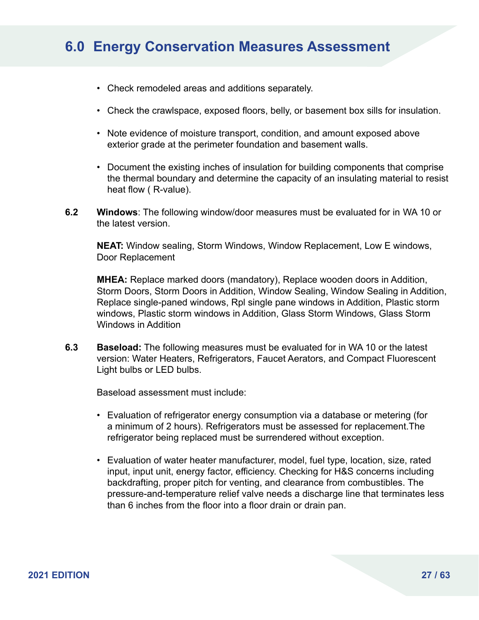- Check remodeled areas and additions separately.
- Check the crawlspace, exposed floors, belly, or basement box sills for insulation.
- Note evidence of moisture transport, condition, and amount exposed above exterior grade at the perimeter foundation and basement walls.
- Document the existing inches of insulation for building components that comprise the thermal boundary and determine the capacity of an insulating material to resist heat flow ( R-value).
- **6.2 Windows**: The following window/door measures must be evaluated for in WA 10 or the latest version.

**NEAT:** Window sealing, Storm Windows, Window Replacement, Low E windows, Door Replacement

**MHEA:** Replace marked doors (mandatory), Replace wooden doors in Addition, Storm Doors, Storm Doors in Addition, Window Sealing, Window Sealing in Addition, Replace single-paned windows, Rpl single pane windows in Addition, Plastic storm windows, Plastic storm windows in Addition, Glass Storm Windows, Glass Storm Windows in Addition

**6.3 Baseload:** The following measures must be evaluated for in WA 10 or the latest version: Water Heaters, Refrigerators, Faucet Aerators, and Compact Fluorescent Light bulbs or LED bulbs.

Baseload assessment must include:

- Evaluation of refrigerator energy consumption via a database or metering (for a minimum of 2 hours). Refrigerators must be assessed for replacement.The refrigerator being replaced must be surrendered without exception.
- Evaluation of water heater manufacturer, model, fuel type, location, size, rated input, input unit, energy factor, efficiency. Checking for H&S concerns including backdrafting, proper pitch for venting, and clearance from combustibles. The pressure-and-temperature relief valve needs a discharge line that terminates less than 6 inches from the floor into a floor drain or drain pan.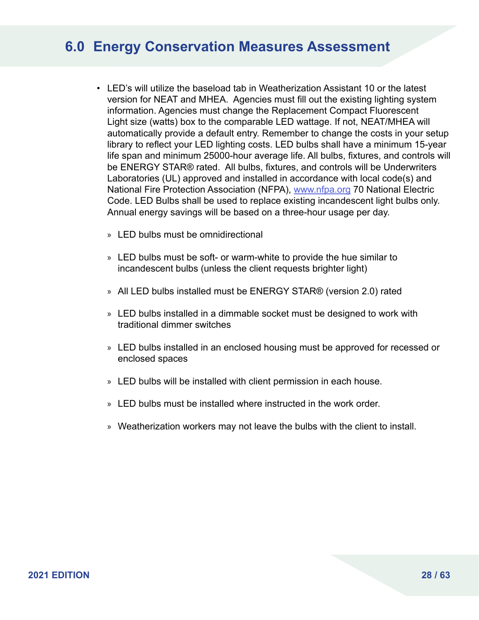- LED's will utilize the baseload tab in Weatherization Assistant 10 or the latest version for NEAT and MHEA. Agencies must fill out the existing lighting system information. Agencies must change the Replacement Compact Fluorescent Light size (watts) box to the comparable LED wattage. If not, NEAT/MHEA will automatically provide a default entry. Remember to change the costs in your setup library to reflect your LED lighting costs. LED bulbs shall have a minimum 15-year life span and minimum 25000-hour average life. All bulbs, fixtures, and controls will be ENERGY STAR® rated. All bulbs, fixtures, and controls will be Underwriters Laboratories (UL) approved and installed in accordance with local code(s) and National Fire Protection Association (NFPA), [www.nfpa.org](http://www.nfpa.org) 70 National Electric Code. LED Bulbs shall be used to replace existing incandescent light bulbs only. Annual energy savings will be based on a three-hour usage per day.
	- » LED bulbs must be omnidirectional
	- » LED bulbs must be soft- or warm-white to provide the hue similar to incandescent bulbs (unless the client requests brighter light)
	- » All LED bulbs installed must be ENERGY STAR® (version 2.0) rated
	- » LED bulbs installed in a dimmable socket must be designed to work with traditional dimmer switches
	- » LED bulbs installed in an enclosed housing must be approved for recessed or enclosed spaces
	- » LED bulbs will be installed with client permission in each house.
	- » LED bulbs must be installed where instructed in the work order.
	- » Weatherization workers may not leave the bulbs with the client to install.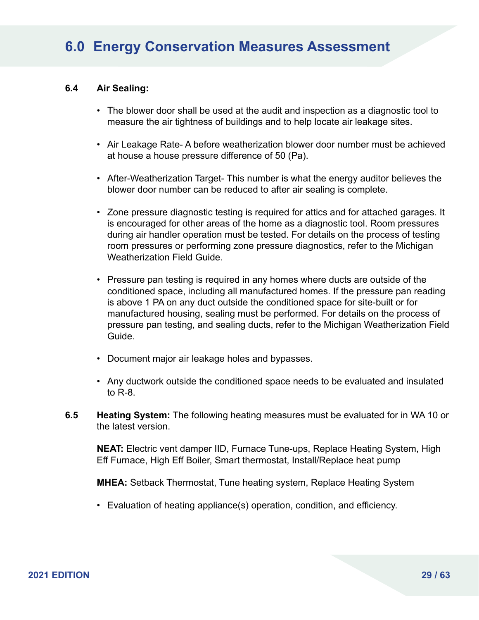#### **6.4 Air Sealing:**

- The blower door shall be used at the audit and inspection as a diagnostic tool to measure the air tightness of buildings and to help locate air leakage sites.
- Air Leakage Rate- A before weatherization blower door number must be achieved at house a house pressure difference of 50 (Pa).
- After-Weatherization Target- This number is what the energy auditor believes the blower door number can be reduced to after air sealing is complete.
- Zone pressure diagnostic testing is required for attics and for attached garages. It is encouraged for other areas of the home as a diagnostic tool. Room pressures during air handler operation must be tested. For details on the process of testing room pressures or performing zone pressure diagnostics, refer to the Michigan Weatherization Field Guide.
- Pressure pan testing is required in any homes where ducts are outside of the conditioned space, including all manufactured homes. If the pressure pan reading is above 1 PA on any duct outside the conditioned space for site-built or for manufactured housing, sealing must be performed. For details on the process of pressure pan testing, and sealing ducts, refer to the Michigan Weatherization Field Guide.
- Document major air leakage holes and bypasses.
- Any ductwork outside the conditioned space needs to be evaluated and insulated to R-8.
- **6.5 Heating System:** The following heating measures must be evaluated for in WA 10 or the latest version.

**NEAT:** Electric vent damper IID, Furnace Tune-ups, Replace Heating System, High Eff Furnace, High Eff Boiler, Smart thermostat, Install/Replace heat pump

**MHEA:** Setback Thermostat, Tune heating system, Replace Heating System

• Evaluation of heating appliance(s) operation, condition, and efficiency.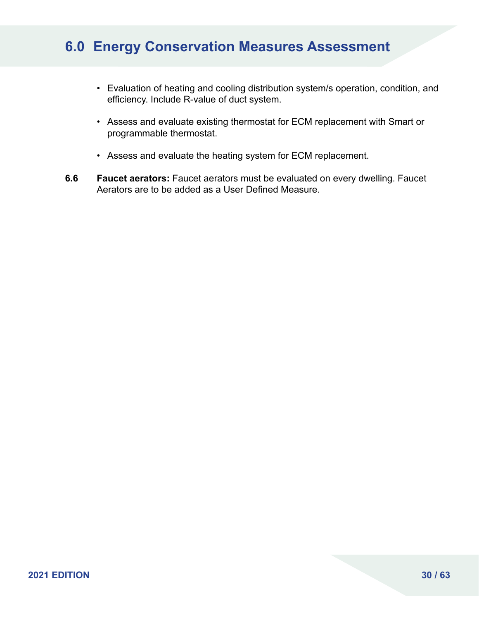- Evaluation of heating and cooling distribution system/s operation, condition, and efficiency. Include R-value of duct system.
- Assess and evaluate existing thermostat for ECM replacement with Smart or programmable thermostat.
- Assess and evaluate the heating system for ECM replacement.
- **6.6 Faucet aerators:** Faucet aerators must be evaluated on every dwelling. Faucet Aerators are to be added as a User Defined Measure.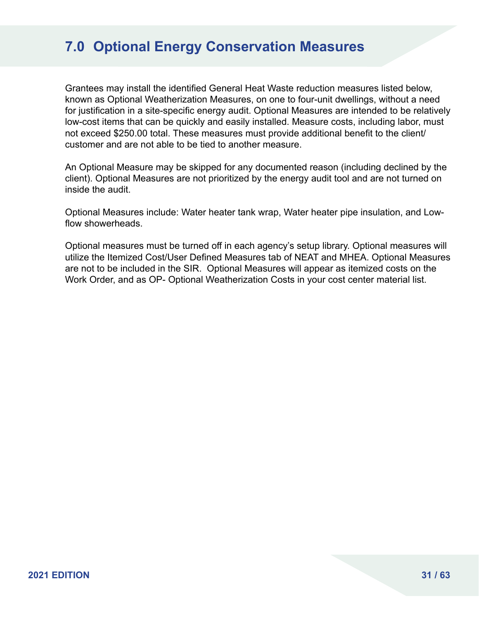# **7.0 Optional Energy Conservation Measures**

Grantees may install the identified General Heat Waste reduction measures listed below, known as Optional Weatherization Measures, on one to four-unit dwellings, without a need for justification in a site-specific energy audit. Optional Measures are intended to be relatively low-cost items that can be quickly and easily installed. Measure costs, including labor, must not exceed \$250.00 total. These measures must provide additional benefit to the client/ customer and are not able to be tied to another measure.

An Optional Measure may be skipped for any documented reason (including declined by the client). Optional Measures are not prioritized by the energy audit tool and are not turned on inside the audit.

Optional Measures include: Water heater tank wrap, Water heater pipe insulation, and Lowflow showerheads.

Optional measures must be turned off in each agency's setup library. Optional measures will utilize the Itemized Cost/User Defined Measures tab of NEAT and MHEA. Optional Measures are not to be included in the SIR. Optional Measures will appear as itemized costs on the Work Order, and as OP- Optional Weatherization Costs in your cost center material list.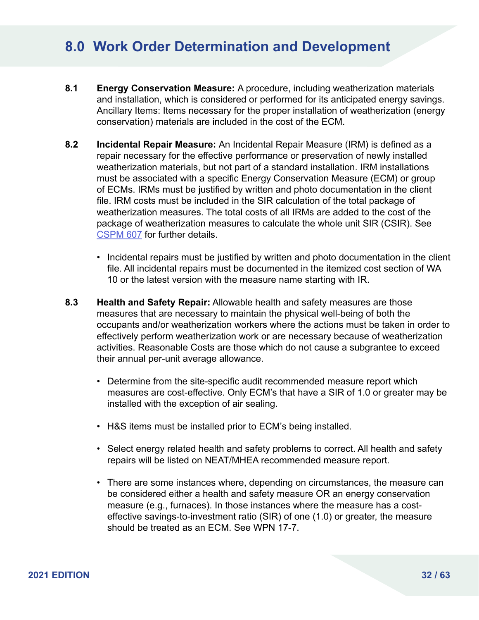### **8.0 Work Order Determination and Development**

- **8.1 Energy Conservation Measure:** A procedure, including weatherization materials and installation, which is considered or performed for its anticipated energy savings. Ancillary Items: Items necessary for the proper installation of weatherization (energy conservation) materials are included in the cost of the ECM.
- **8.2 Incidental Repair Measure:** An Incidental Repair Measure (IRM) is defined as a repair necessary for the effective performance or preservation of newly installed weatherization materials, but not part of a standard installation. IRM installations must be associated with a specific Energy Conservation Measure (ECM) or group of ECMs. IRMs must be justified by written and photo documentation in the client file. IRM costs must be included in the SIR calculation of the total package of weatherization measures. The total costs of all IRMs are added to the cost of the package of weatherization measures to calculate the whole unit SIR (CSIR). See [CSPM 607](https://www.michigan.gov/documents/dhs/CSPM_600_Series_215133_7.pdf#page=47) for further details.
	- Incidental repairs must be justified by written and photo documentation in the client file. All incidental repairs must be documented in the itemized cost section of WA 10 or the latest version with the measure name starting with IR.
- **8.3 Health and Safety Repair:** Allowable health and safety measures are those measures that are necessary to maintain the physical well-being of both the occupants and/or weatherization workers where the actions must be taken in order to effectively perform weatherization work or are necessary because of weatherization activities. Reasonable Costs are those which do not cause a subgrantee to exceed their annual per-unit average allowance.
	- Determine from the site-specific audit recommended measure report which measures are cost-effective. Only ECM's that have a SIR of 1.0 or greater may be installed with the exception of air sealing.
	- H&S items must be installed prior to ECM's being installed.
	- Select energy related health and safety problems to correct. All health and safety repairs will be listed on NEAT/MHEA recommended measure report.
	- There are some instances where, depending on circumstances, the measure can be considered either a health and safety measure OR an energy conservation measure (e.g., furnaces). In those instances where the measure has a costeffective savings-to-investment ratio (SIR) of one (1.0) or greater, the measure should be treated as an ECM. See WPN 17-7.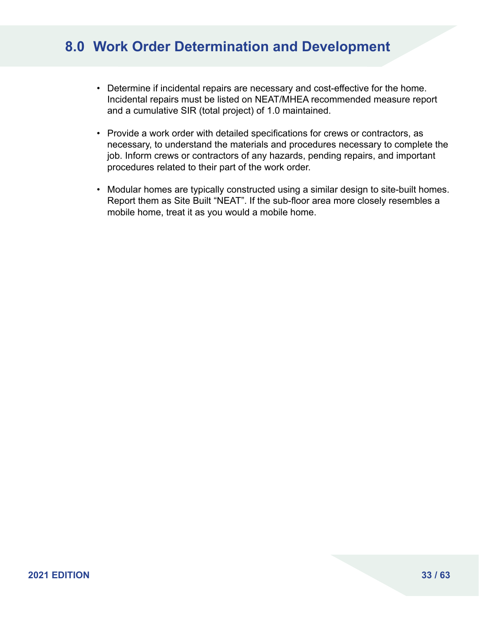# **8.0 Work Order Determination and Development**

- Determine if incidental repairs are necessary and cost-effective for the home. Incidental repairs must be listed on NEAT/MHEA recommended measure report and a cumulative SIR (total project) of 1.0 maintained.
- Provide a work order with detailed specifications for crews or contractors, as necessary, to understand the materials and procedures necessary to complete the job. Inform crews or contractors of any hazards, pending repairs, and important procedures related to their part of the work order.
- Modular homes are typically constructed using a similar design to site-built homes. Report them as Site Built "NEAT". If the sub-floor area more closely resembles a mobile home, treat it as you would a mobile home.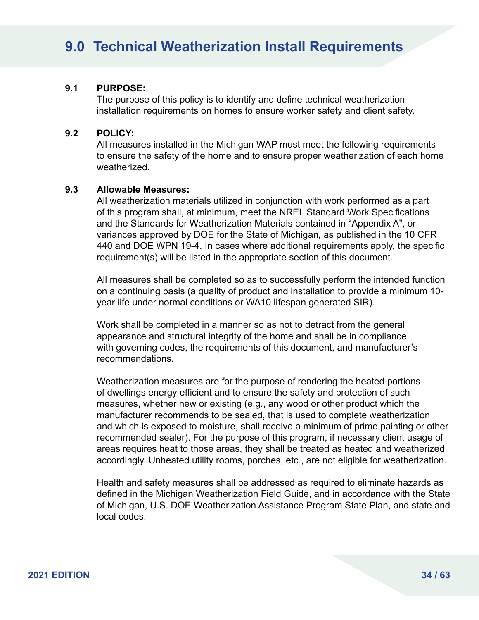# **9.0 Technical Weatherization Install Requirements**

#### **9.1 PURPOSE:**

The purpose of this policy is to identify and define technical weatherization installation requirements on homes to ensure worker safety and client safety.

#### **9.2 POLICY:**

All measures installed in the Michigan WAP must meet the following requirements to ensure the safety of the home and to ensure proper weatherization of each home weatherized.

#### **9.3 Allowable Measures:**

All weatherization materials utilized in conjunction with work performed as a part of this program shall, at minimum, meet the NREL Standard Work Specifications and the Standards for Weatherization Materials contained in "Appendix A", or variances approved by DOE for the State of Michigan, as published in the 10 CFR 440 and DOE WPN 19-4. In cases where additional requirements apply, the specific requirement(s) will be listed in the appropriate section of this document.

All measures shall be completed so as to successfully perform the intended function on a continuing basis (a quality of product and installation to provide a minimum 10 year life under normal conditions or WA10 lifespan generated SIR).

Work shall be completed in a manner so as not to detract from the general appearance and structural integrity of the home and shall be in compliance with governing codes, the requirements of this document, and manufacturer's recommendations.

Weatherization measures are for the purpose of rendering the heated portions of dwellings energy efficient and to ensure the safety and protection of such measures, whether new or existing (e.g., any wood or other product which the manufacturer recommends to be sealed, that is used to complete weatherization and which is exposed to moisture, shall receive a minimum of prime painting or other recommended sealer). For the purpose of this program, if necessary client usage of areas requires heat to those areas, they shall be treated as heated and weatherized accordingly. Unheated utility rooms, porches, etc., are not eligible for weatherization.

Health and safety measures shall be addressed as required to eliminate hazards as defined in the Michigan Weatherization Field Guide, and in accordance with the State of Michigan, U.S. DOE Weatherization Assistance Program State Plan, and state and local codes.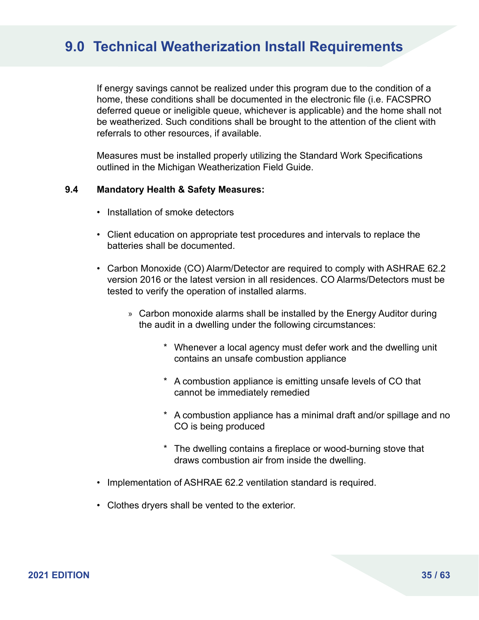### **9.0 Technical Weatherization Install Requirements**

If energy savings cannot be realized under this program due to the condition of a home, these conditions shall be documented in the electronic file (i.e. FACSPRO deferred queue or ineligible queue, whichever is applicable) and the home shall not be weatherized. Such conditions shall be brought to the attention of the client with referrals to other resources, if available.

Measures must be installed properly utilizing the Standard Work Specifications outlined in the Michigan Weatherization Field Guide.

#### **9.4 Mandatory Health & Safety Measures:**

- Installation of smoke detectors
- Client education on appropriate test procedures and intervals to replace the batteries shall be documented.
- Carbon Monoxide (CO) Alarm/Detector are required to comply with ASHRAE 62.2 version 2016 or the latest version in all residences. CO Alarms/Detectors must be tested to verify the operation of installed alarms.
	- » Carbon monoxide alarms shall be installed by the Energy Auditor during the audit in a dwelling under the following circumstances:
		- \* Whenever a local agency must defer work and the dwelling unit contains an unsafe combustion appliance
		- \* A combustion appliance is emitting unsafe levels of CO that cannot be immediately remedied
		- \* A combustion appliance has a minimal draft and/or spillage and no CO is being produced
		- \* The dwelling contains a fireplace or wood-burning stove that draws combustion air from inside the dwelling.
- Implementation of ASHRAE 62.2 ventilation standard is required.
- Clothes dryers shall be vented to the exterior.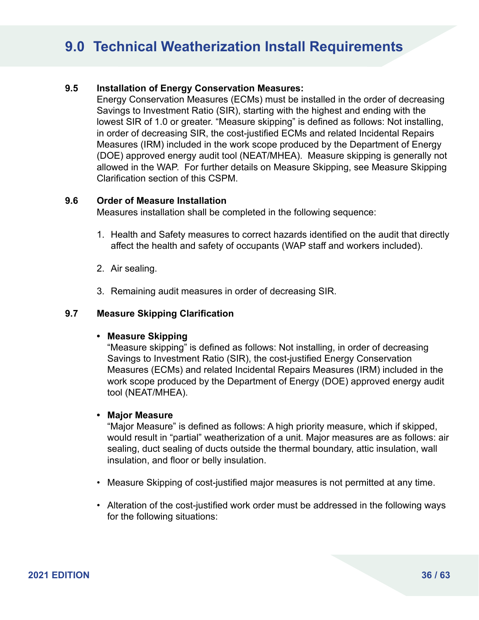# **9.0 Technical Weatherization Install Requirements**

### **9.5 Installation of Energy Conservation Measures:**

Energy Conservation Measures (ECMs) must be installed in the order of decreasing Savings to Investment Ratio (SIR), starting with the highest and ending with the lowest SIR of 1.0 or greater. "Measure skipping" is defined as follows: Not installing, in order of decreasing SIR, the cost-justified ECMs and related Incidental Repairs Measures (IRM) included in the work scope produced by the Department of Energy (DOE) approved energy audit tool (NEAT/MHEA). Measure skipping is generally not allowed in the WAP. For further details on Measure Skipping, see Measure Skipping Clarification section of this CSPM.

#### **9.6 Order of Measure Installation**

Measures installation shall be completed in the following sequence:

- 1. Health and Safety measures to correct hazards identified on the audit that directly affect the health and safety of occupants (WAP staff and workers included).
- 2. Air sealing.
- 3. Remaining audit measures in order of decreasing SIR.

#### **9.7 Measure Skipping Clarification**

#### **• Measure Skipping**

"Measure skipping" is defined as follows: Not installing, in order of decreasing Savings to Investment Ratio (SIR), the cost-justified Energy Conservation Measures (ECMs) and related Incidental Repairs Measures (IRM) included in the work scope produced by the Department of Energy (DOE) approved energy audit tool (NEAT/MHEA).

#### **• Major Measure**

"Major Measure" is defined as follows: A high priority measure, which if skipped, would result in "partial" weatherization of a unit. Major measures are as follows: air sealing, duct sealing of ducts outside the thermal boundary, attic insulation, wall insulation, and floor or belly insulation.

- Measure Skipping of cost-justified major measures is not permitted at any time.
- Alteration of the cost-justified work order must be addressed in the following ways for the following situations: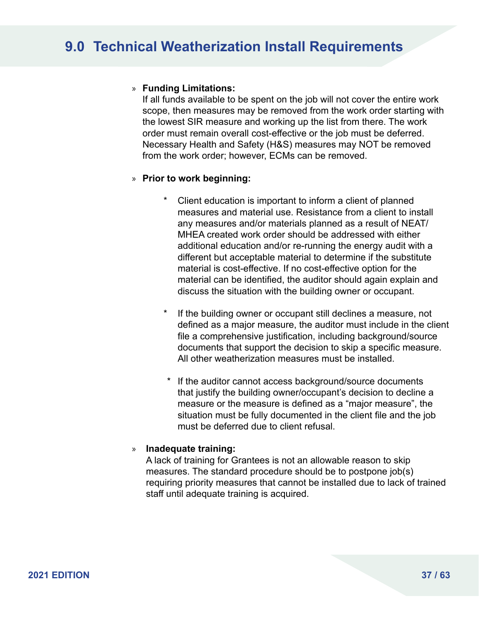### » **Funding Limitations:**

If all funds available to be spent on the job will not cover the entire work scope, then measures may be removed from the work order starting with the lowest SIR measure and working up the list from there. The work order must remain overall cost-effective or the job must be deferred. Necessary Health and Safety (H&S) measures may NOT be removed from the work order; however, ECMs can be removed.

### » **Prior to work beginning:**

- Client education is important to inform a client of planned measures and material use. Resistance from a client to install any measures and/or materials planned as a result of NEAT/ MHEA created work order should be addressed with either additional education and/or re-running the energy audit with a different but acceptable material to determine if the substitute material is cost-effective. If no cost-effective option for the material can be identified, the auditor should again explain and discuss the situation with the building owner or occupant.
- If the building owner or occupant still declines a measure, not defined as a major measure, the auditor must include in the client file a comprehensive justification, including background/source documents that support the decision to skip a specific measure. All other weatherization measures must be installed.
- \* If the auditor cannot access background/source documents that justify the building owner/occupant's decision to decline a measure or the measure is defined as a "major measure", the situation must be fully documented in the client file and the job must be deferred due to client refusal.

#### » **Inadequate training:**

A lack of training for Grantees is not an allowable reason to skip measures. The standard procedure should be to postpone job(s) requiring priority measures that cannot be installed due to lack of trained staff until adequate training is acquired.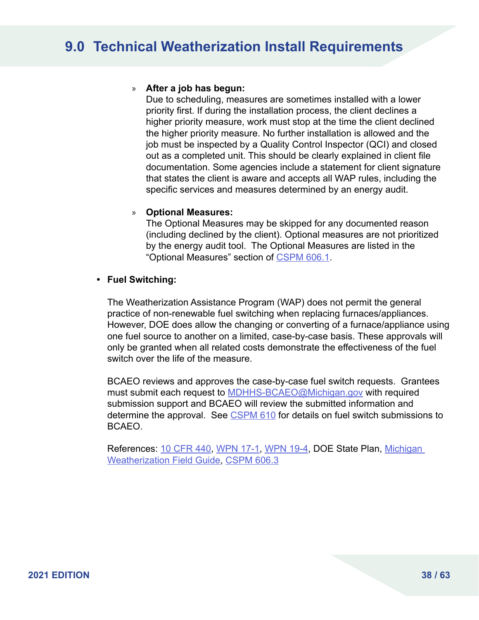### » **After a job has begun:**

Due to scheduling, measures are sometimes installed with a lower priority first. If during the installation process, the client declines a higher priority measure, work must stop at the time the client declined the higher priority measure. No further installation is allowed and the job must be inspected by a Quality Control Inspector (QCI) and closed out as a completed unit. This should be clearly explained in client file documentation. Some agencies include a statement for client signature that states the client is aware and accepts all WAP rules, including the specific services and measures determined by an energy audit.

### » **Optional Measures:**

The Optional Measures may be skipped for any documented reason (including declined by the client). Optional measures are not prioritized by the energy audit tool. The Optional Measures are listed in the "Optional Measures" section of [CSPM 606.1](https://www.michigan.gov/documents/dhs/CSPM_600_Series_215133_7.pdf#page=33).

### **• Fuel Switching:**

The Weatherization Assistance Program (WAP) does not permit the general practice of non-renewable fuel switching when replacing furnaces/appliances. However, DOE does allow the changing or converting of a furnace/appliance using one fuel source to another on a limited, case-by-case basis. These approvals will only be granted when all related costs demonstrate the effectiveness of the fuel switch over the life of the measure.

BCAEO reviews and approves the case-by-case fuel switch requests. Grantees must submit each request to [MDHHS-BCAEO@Michigan.gov](mailto:MDHHS-BCAEO%40Michigan.gov?subject=) with required submission support and BCAEO will review the submitted information and determine the approval. See [CSPM 610](https://www.michigan.gov/documents/dhs/CSPM_600_Series_215133_7.pdf#page=75) for details on fuel switch submissions to BCAEO.

References: [10 CFR 440,](https://www.ecfr.gov/cgi-bin/text-idx?tpl=/ecfrbrowse/Title10/10cfr440_main_02.tpl) [WPN 17-1,](https://www.energy.gov/eere/wap/downloads/wpn-17-1-program-year-2017-weatherization-grant-guidance) [WPN 19-4,](https://www.energy.gov/eere/wap/downloads/wpn-19-4-revised-energy-audit-approval-procedures-related-audit-and-material) DOE State Plan, Michigan [Weatherization Field Guide,](http://wxfieldguide.com/mi/#t=MIWxFG%2FTitle%2FTitle.htm) [CSPM 606.3](https://www.michigan.gov/documents/dhs/CSPM_600_Series_215133_7.pdf#page=38)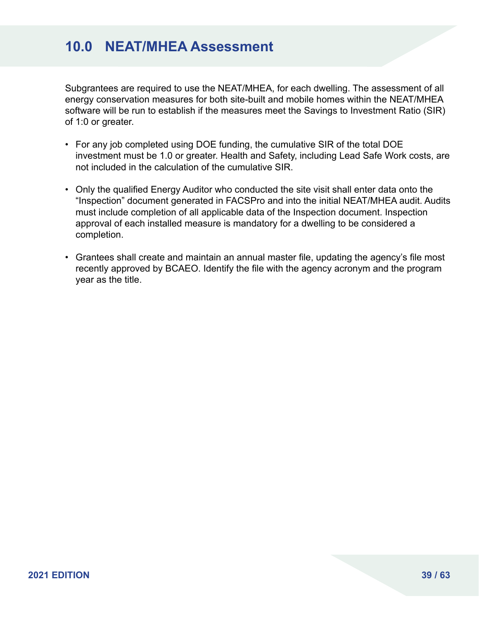# **10.0 NEAT/MHEA Assessment**

Subgrantees are required to use the NEAT/MHEA, for each dwelling. The assessment of all energy conservation measures for both site-built and mobile homes within the NEAT/MHEA software will be run to establish if the measures meet the Savings to Investment Ratio (SIR) of 1:0 or greater.

- For any job completed using DOE funding, the cumulative SIR of the total DOE investment must be 1.0 or greater. Health and Safety, including Lead Safe Work costs, are not included in the calculation of the cumulative SIR.
- Only the qualified Energy Auditor who conducted the site visit shall enter data onto the "Inspection" document generated in FACSPro and into the initial NEAT/MHEA audit. Audits must include completion of all applicable data of the Inspection document. Inspection approval of each installed measure is mandatory for a dwelling to be considered a completion.
- Grantees shall create and maintain an annual master file, updating the agency's file most recently approved by BCAEO. Identify the file with the agency acronym and the program year as the title.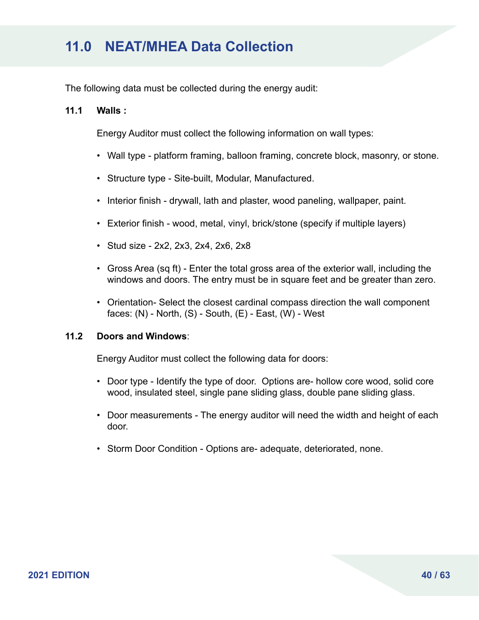The following data must be collected during the energy audit:

#### **11.1 Walls :**

Energy Auditor must collect the following information on wall types:

- Wall type platform framing, balloon framing, concrete block, masonry, or stone.
- Structure type Site-built, Modular, Manufactured.
- Interior finish drywall, lath and plaster, wood paneling, wallpaper, paint.
- Exterior finish wood, metal, vinyl, brick/stone (specify if multiple layers)
- Stud size 2x2, 2x3, 2x4, 2x6, 2x8
- Gross Area (sq ft) Enter the total gross area of the exterior wall, including the windows and doors. The entry must be in square feet and be greater than zero.
- Orientation- Select the closest cardinal compass direction the wall component faces:  $(N)$  - North,  $(S)$  - South,  $(E)$  - East,  $(W)$  - West

### **11.2 Doors and Windows**:

Energy Auditor must collect the following data for doors:

- Door type Identify the type of door. Options are- hollow core wood, solid core wood, insulated steel, single pane sliding glass, double pane sliding glass.
- Door measurements The energy auditor will need the width and height of each door.
- Storm Door Condition Options are- adequate, deteriorated, none.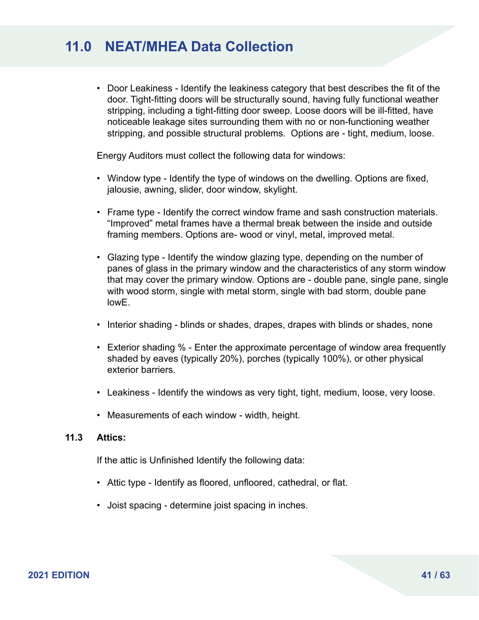• Door Leakiness - Identify the leakiness category that best describes the fit of the door. Tight-fitting doors will be structurally sound, having fully functional weather stripping, including a tight-fitting door sweep. Loose doors will be ill-fitted, have noticeable leakage sites surrounding them with no or non-functioning weather stripping, and possible structural problems. Options are - tight, medium, loose.

Energy Auditors must collect the following data for windows:

- Window type Identify the type of windows on the dwelling. Options are fixed, jalousie, awning, slider, door window, skylight.
- Frame type Identify the correct window frame and sash construction materials. "Improved" metal frames have a thermal break between the inside and outside framing members. Options are- wood or vinyl, metal, improved metal.
- Glazing type Identify the window glazing type, depending on the number of panes of glass in the primary window and the characteristics of any storm window that may cover the primary window. Options are - double pane, single pane, single with wood storm, single with metal storm, single with bad storm, double pane lowE.
- Interior shading blinds or shades, drapes, drapes with blinds or shades, none
- Exterior shading % Enter the approximate percentage of window area frequently shaded by eaves (typically 20%), porches (typically 100%), or other physical exterior barriers.
- Leakiness Identify the windows as very tight, tight, medium, loose, very loose.
- Measurements of each window width, height.

#### **11.3 Attics:**

If the attic is Unfinished Identify the following data:

- Attic type Identify as floored, unfloored, cathedral, or flat.
- Joist spacing determine joist spacing in inches.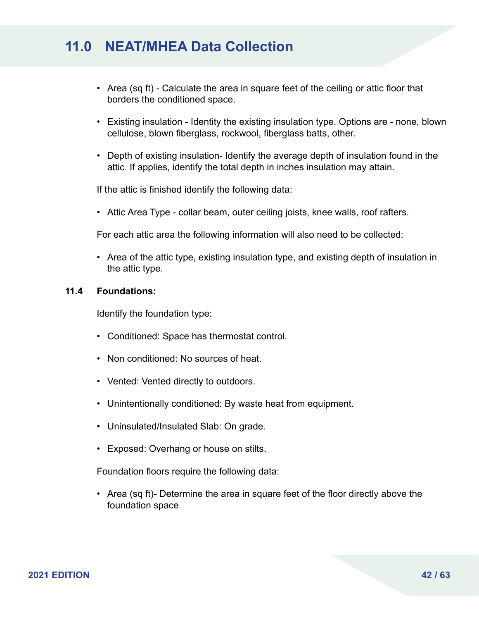- Area (sq ft) Calculate the area in square feet of the ceiling or attic floor that borders the conditioned space.
- Existing insulation Identity the existing insulation type. Options are none, blown cellulose, blown fiberglass, rockwool, fiberglass batts, other.
- Depth of existing insulation- Identify the average depth of insulation found in the attic. If applies, identify the total depth in inches insulation may attain.

If the attic is finished identify the following data:

• Attic Area Type - collar beam, outer ceiling joists, knee walls, roof rafters.

For each attic area the following information will also need to be collected:

• Area of the attic type, existing insulation type, and existing depth of insulation in the attic type.

#### **11.4 Foundations:**

Identify the foundation type:

- Conditioned: Space has thermostat control.
- Non conditioned: No sources of heat.
- Vented: Vented directly to outdoors.
- Unintentionally conditioned: By waste heat from equipment.
- Uninsulated/Insulated Slab: On grade.
- Exposed: Overhang or house on stilts.

Foundation floors require the following data:

• Area (sq ft)- Determine the area in square feet of the floor directly above the foundation space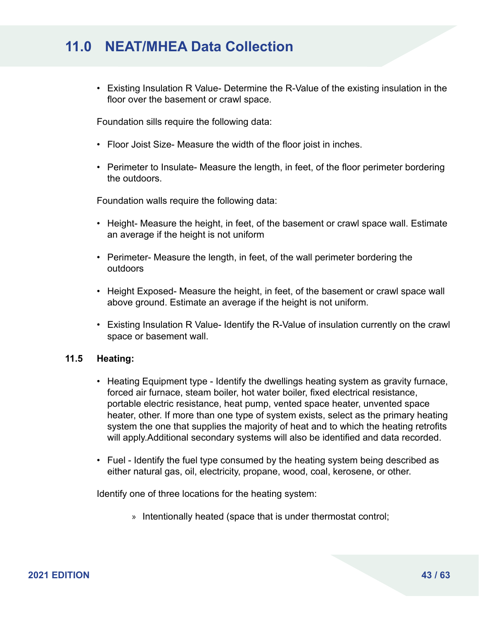• Existing Insulation R Value- Determine the R-Value of the existing insulation in the floor over the basement or crawl space.

Foundation sills require the following data:

- Floor Joist Size- Measure the width of the floor joist in inches.
- Perimeter to Insulate- Measure the length, in feet, of the floor perimeter bordering the outdoors.

Foundation walls require the following data:

- Height- Measure the height, in feet, of the basement or crawl space wall. Estimate an average if the height is not uniform
- Perimeter- Measure the length, in feet, of the wall perimeter bordering the outdoors
- Height Exposed- Measure the height, in feet, of the basement or crawl space wall above ground. Estimate an average if the height is not uniform.
- Existing Insulation R Value- Identify the R-Value of insulation currently on the crawl space or basement wall.

#### **11.5 Heating:**

- Heating Equipment type Identify the dwellings heating system as gravity furnace, forced air furnace, steam boiler, hot water boiler, fixed electrical resistance, portable electric resistance, heat pump, vented space heater, unvented space heater, other. If more than one type of system exists, select as the primary heating system the one that supplies the majority of heat and to which the heating retrofits will apply.Additional secondary systems will also be identified and data recorded.
- Fuel Identify the fuel type consumed by the heating system being described as either natural gas, oil, electricity, propane, wood, coal, kerosene, or other.

Identify one of three locations for the heating system:

» Intentionally heated (space that is under thermostat control;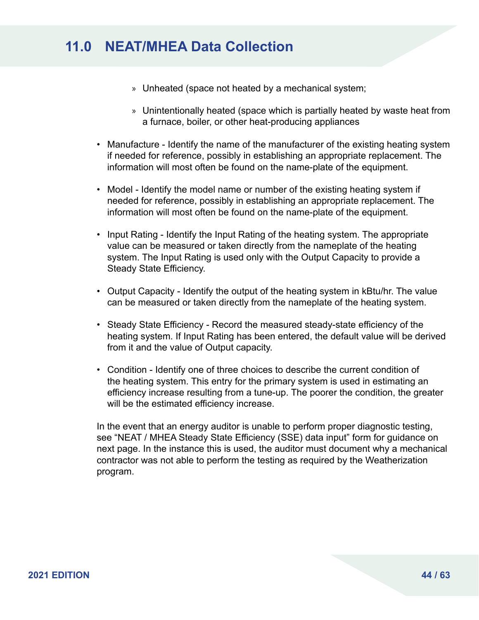- » Unheated (space not heated by a mechanical system;
- » Unintentionally heated (space which is partially heated by waste heat from a furnace, boiler, or other heat-producing appliances
- Manufacture Identify the name of the manufacturer of the existing heating system if needed for reference, possibly in establishing an appropriate replacement. The information will most often be found on the name-plate of the equipment.
- Model Identify the model name or number of the existing heating system if needed for reference, possibly in establishing an appropriate replacement. The information will most often be found on the name-plate of the equipment.
- Input Rating Identify the Input Rating of the heating system. The appropriate value can be measured or taken directly from the nameplate of the heating system. The Input Rating is used only with the Output Capacity to provide a Steady State Efficiency.
- Output Capacity Identify the output of the heating system in kBtu/hr. The value can be measured or taken directly from the nameplate of the heating system.
- Steady State Efficiency Record the measured steady-state efficiency of the heating system. If Input Rating has been entered, the default value will be derived from it and the value of Output capacity.
- Condition Identify one of three choices to describe the current condition of the heating system. This entry for the primary system is used in estimating an efficiency increase resulting from a tune-up. The poorer the condition, the greater will be the estimated efficiency increase.

In the event that an energy auditor is unable to perform proper diagnostic testing, see "NEAT / MHEA Steady State Efficiency (SSE) data input" form for guidance on next page. In the instance this is used, the auditor must document why a mechanical contractor was not able to perform the testing as required by the Weatherization program.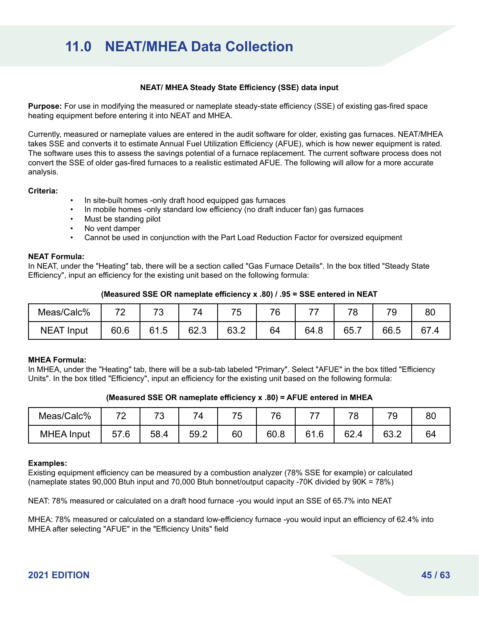#### **NEAT/ MHEA Steady State Efficiency (SSE) data input**

**Purpose:** For use in modifying the measured or nameplate steady-state efficiency (SSE) of existing gas-fired space heating equipment before entering it into NEAT and MHEA.

Currently, measured or nameplate values are entered in the audit software for older, existing gas furnaces. NEAT/MHEA takes SSE and converts it to estimate Annual Fuel Utilization Efficiency (AFUE), which is how newer equipment is rated. The software uses this to assess the savings potential of a furnace replacement. The current software process does not convert the SSE of older gas-fired furnaces to a realistic estimated AFUE. The following will allow for a more accurate analysis.

#### **Criteria:**

- In site-built homes -only draft hood equipped gas furnaces
- In mobile homes -only standard low efficiency (no draft inducer fan) gas furnaces
- Must be standing pilot
- No vent damper
- Cannot be used in conjunction with the Part Load Reduction Factor for oversized equipment

#### **NEAT Formula:**

In NEAT, under the "Heating" tab, there will be a section called "Gas Furnace Details". In the box titled "Steady State Efficiency", input an efficiency for the existing unit based on the following formula:

#### **(Measured SSE OR nameplate efficiency x .80) / .95 = SSE entered in NEAT**

| Meas/Calc%    | 70<br>_ | 70<br><b>U</b> | $7_{\Delta}$ | ᄀ<br>$\ddot{\phantom{1}}$<br>v. | 76 | ⇁    | 78   | 70   | O1<br>ōυ |
|---------------|---------|----------------|--------------|---------------------------------|----|------|------|------|----------|
| NEAT<br>Input | 60.6    | 61.5           | 62.3         | GQ O<br>໐ວ.∠                    | 64 | 64.8 | 65.7 | 66.5 | 67<br>Δ  |

#### **MHEA Formula:**

In MHEA, under the "Heating" tab, there will be a sub-tab labeled "Primary". Select "AFUE" in the box titled "Efficiency Units". In the box titled "Efficiency", input an efficiency for the existing unit based on the following formula:

|  | (Measured SSE OR nameplate efficiency x .80) = AFUE entered in MHEA |  |
|--|---------------------------------------------------------------------|--|
|  |                                                                     |  |

| Meas/Calc%        | 70<br>.           | 70   | –<br>۰Δ. | $\overline{\phantom{a}}$ | 76   | --       | 78   | 70   | 80 |
|-------------------|-------------------|------|----------|--------------------------|------|----------|------|------|----|
| <b>MHEA Input</b> | 57<br>$^{\circ}6$ | 58.4 | 59.2     | 60                       | 60.8 | 61<br>.6 | 62.4 | 63.2 | 64 |

#### **Examples:**

Existing equipment efficiency can be measured by a combustion analyzer (78% SSE for example) or calculated (nameplate states 90,000 Btuh input and 70,000 Btuh bonnet/output capacity -70K divided by 90K = 78%)

NEAT: 78% measured or calculated on a draft hood furnace -you would input an SSE of 65.7% into NEAT

MHEA: 78% measured or calculated on a standard low-efficiency furnace -you would input an efficiency of 62.4% into MHEA after selecting "AFUE" in the "Efficiency Units" field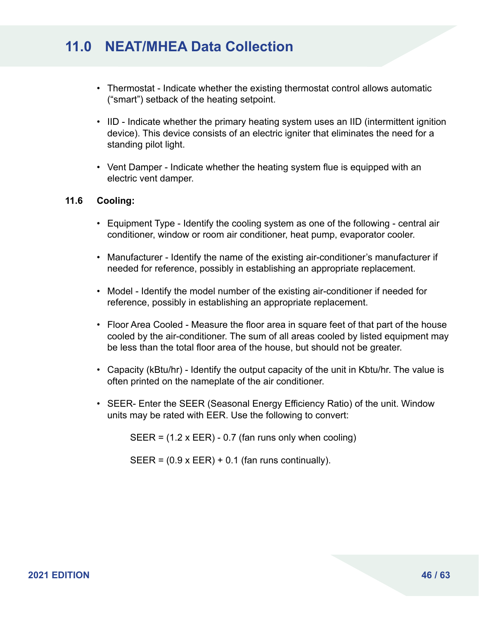- Thermostat Indicate whether the existing thermostat control allows automatic ("smart") setback of the heating setpoint.
- IID Indicate whether the primary heating system uses an IID (intermittent ignition device). This device consists of an electric igniter that eliminates the need for a standing pilot light.
- Vent Damper Indicate whether the heating system flue is equipped with an electric vent damper.

#### **11.6 Cooling:**

- Equipment Type Identify the cooling system as one of the following central air conditioner, window or room air conditioner, heat pump, evaporator cooler.
- Manufacturer Identify the name of the existing air-conditioner's manufacturer if needed for reference, possibly in establishing an appropriate replacement.
- Model Identify the model number of the existing air-conditioner if needed for reference, possibly in establishing an appropriate replacement.
- Floor Area Cooled Measure the floor area in square feet of that part of the house cooled by the air-conditioner. The sum of all areas cooled by listed equipment may be less than the total floor area of the house, but should not be greater.
- Capacity (kBtu/hr) Identify the output capacity of the unit in Kbtu/hr. The value is often printed on the nameplate of the air conditioner.
- SEER- Enter the SEER (Seasonal Energy Efficiency Ratio) of the unit. Window units may be rated with EER. Use the following to convert:

SEER =  $(1.2 \times EER) - 0.7$  (fan runs only when cooling)

 $SEER = (0.9 \times EER) + 0.1$  (fan runs continually).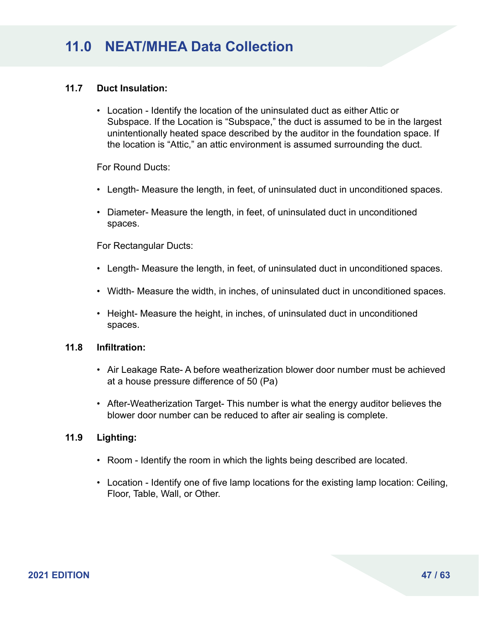### **11.7 Duct Insulation:**

• Location - Identify the location of the uninsulated duct as either Attic or Subspace. If the Location is "Subspace," the duct is assumed to be in the largest unintentionally heated space described by the auditor in the foundation space. If the location is "Attic," an attic environment is assumed surrounding the duct.

For Round Ducts:

- Length- Measure the length, in feet, of uninsulated duct in unconditioned spaces.
- Diameter- Measure the length, in feet, of uninsulated duct in unconditioned spaces.

For Rectangular Ducts:

- Length- Measure the length, in feet, of uninsulated duct in unconditioned spaces.
- Width- Measure the width, in inches, of uninsulated duct in unconditioned spaces.
- Height- Measure the height, in inches, of uninsulated duct in unconditioned spaces.

#### **11.8 Infiltration:**

- Air Leakage Rate- A before weatherization blower door number must be achieved at a house pressure difference of 50 (Pa)
- After-Weatherization Target- This number is what the energy auditor believes the blower door number can be reduced to after air sealing is complete.

#### **11.9 Lighting:**

- Room Identify the room in which the lights being described are located.
- Location Identify one of five lamp locations for the existing lamp location: Ceiling, Floor, Table, Wall, or Other.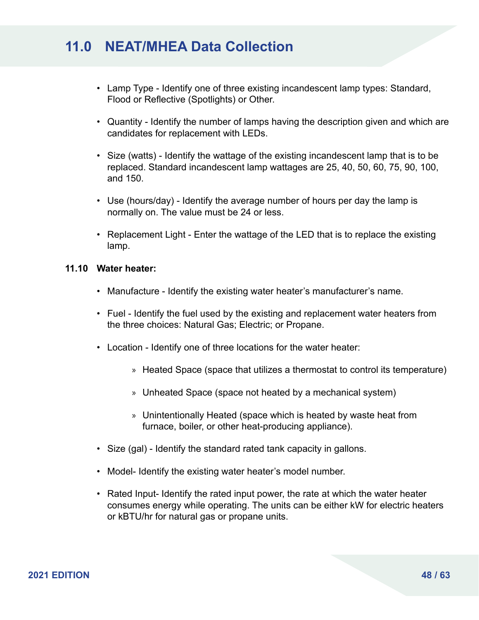- Lamp Type Identify one of three existing incandescent lamp types: Standard, Flood or Reflective (Spotlights) or Other.
- Quantity Identify the number of lamps having the description given and which are candidates for replacement with LEDs.
- Size (watts) Identify the wattage of the existing incandescent lamp that is to be replaced. Standard incandescent lamp wattages are 25, 40, 50, 60, 75, 90, 100, and 150.
- Use (hours/day) Identify the average number of hours per day the lamp is normally on. The value must be 24 or less.
- Replacement Light Enter the wattage of the LED that is to replace the existing lamp.

#### **11.10 Water heater:**

- Manufacture Identify the existing water heater's manufacturer's name.
- Fuel Identify the fuel used by the existing and replacement water heaters from the three choices: Natural Gas; Electric; or Propane.
- Location Identify one of three locations for the water heater:
	- » Heated Space (space that utilizes a thermostat to control its temperature)
	- » Unheated Space (space not heated by a mechanical system)
	- » Unintentionally Heated (space which is heated by waste heat from furnace, boiler, or other heat-producing appliance).
- Size (gal) Identify the standard rated tank capacity in gallons.
- Model- Identify the existing water heater's model number.
- Rated Input- Identify the rated input power, the rate at which the water heater consumes energy while operating. The units can be either kW for electric heaters or kBTU/hr for natural gas or propane units.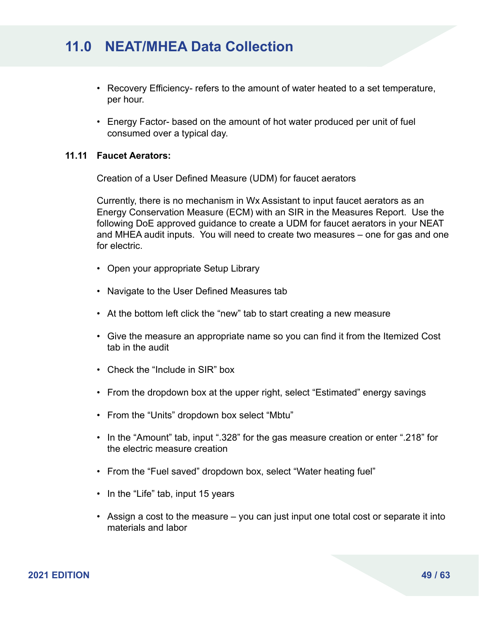- Recovery Efficiency- refers to the amount of water heated to a set temperature, per hour.
- Energy Factor- based on the amount of hot water produced per unit of fuel consumed over a typical day.

#### **11.11 Faucet Aerators:**

Creation of a User Defined Measure (UDM) for faucet aerators

Currently, there is no mechanism in Wx Assistant to input faucet aerators as an Energy Conservation Measure (ECM) with an SIR in the Measures Report. Use the following DoE approved guidance to create a UDM for faucet aerators in your NEAT and MHEA audit inputs. You will need to create two measures – one for gas and one for electric.

- Open your appropriate Setup Library
- Navigate to the User Defined Measures tab
- At the bottom left click the "new" tab to start creating a new measure
- Give the measure an appropriate name so you can find it from the Itemized Cost tab in the audit
- Check the "Include in SIR" box
- From the dropdown box at the upper right, select "Estimated" energy savings
- From the "Units" dropdown box select "Mbtu"
- In the "Amount" tab, input ".328" for the gas measure creation or enter ".218" for the electric measure creation
- From the "Fuel saved" dropdown box, select "Water heating fuel"
- In the "Life" tab, input 15 years
- Assign a cost to the measure you can just input one total cost or separate it into materials and labor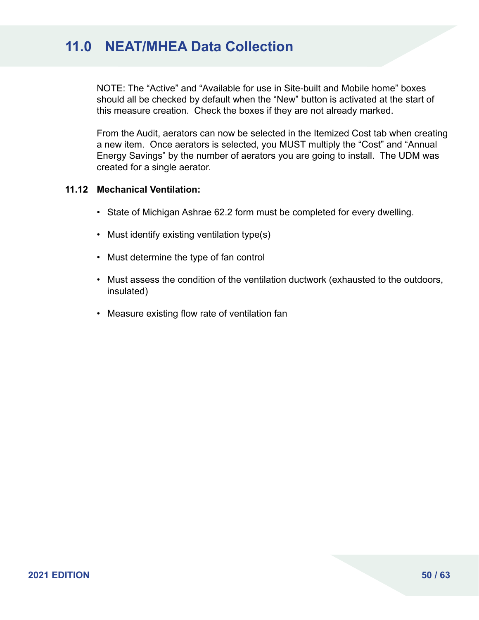NOTE: The "Active" and "Available for use in Site-built and Mobile home" boxes should all be checked by default when the "New" button is activated at the start of this measure creation. Check the boxes if they are not already marked.

From the Audit, aerators can now be selected in the Itemized Cost tab when creating a new item. Once aerators is selected, you MUST multiply the "Cost" and "Annual Energy Savings" by the number of aerators you are going to install. The UDM was created for a single aerator.

#### **11.12 Mechanical Ventilation:**

- State of Michigan Ashrae 62.2 form must be completed for every dwelling.
- Must identify existing ventilation type(s)
- Must determine the type of fan control
- Must assess the condition of the ventilation ductwork (exhausted to the outdoors, insulated)
- Measure existing flow rate of ventilation fan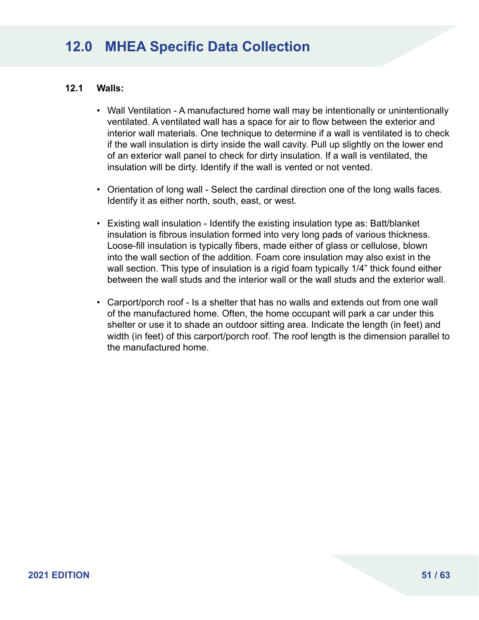### **12.1 Walls:**

- Wall Ventilation A manufactured home wall may be intentionally or unintentionally ventilated. A ventilated wall has a space for air to flow between the exterior and interior wall materials. One technique to determine if a wall is ventilated is to check if the wall insulation is dirty inside the wall cavity. Pull up slightly on the lower end of an exterior wall panel to check for dirty insulation. If a wall is ventilated, the insulation will be dirty. Identify if the wall is vented or not vented.
- Orientation of long wall Select the cardinal direction one of the long walls faces. Identify it as either north, south, east, or west.
- Existing wall insulation Identify the existing insulation type as: Batt/blanket insulation is fibrous insulation formed into very long pads of various thickness. Loose-fill insulation is typically fibers, made either of glass or cellulose, blown into the wall section of the addition. Foam core insulation may also exist in the wall section. This type of insulation is a rigid foam typically 1/4" thick found either between the wall studs and the interior wall or the wall studs and the exterior wall.
- Carport/porch roof Is a shelter that has no walls and extends out from one wall of the manufactured home. Often, the home occupant will park a car under this shelter or use it to shade an outdoor sitting area. Indicate the length (in feet) and width (in feet) of this carport/porch roof. The roof length is the dimension parallel to the manufactured home.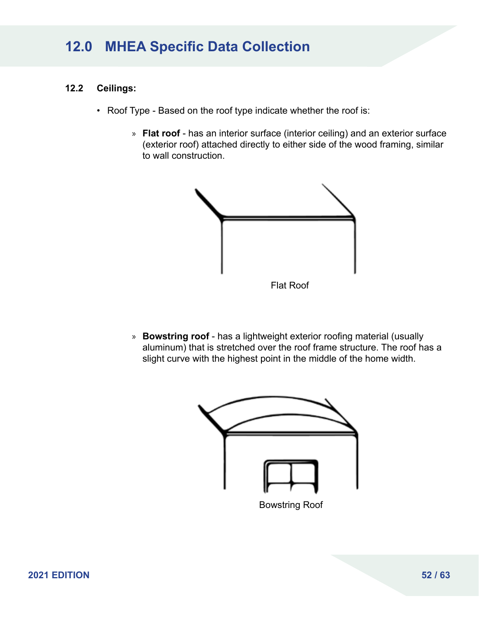### **12.2 Ceilings:**

- Roof Type Based on the roof type indicate whether the roof is:
	- » **Flat roof** has an interior surface (interior ceiling) and an exterior surface (exterior roof) attached directly to either side of the wood framing, similar to wall construction.



» **Bowstring roof** - has a lightweight exterior roofing material (usually aluminum) that is stretched over the roof frame structure. The roof has a slight curve with the highest point in the middle of the home width.

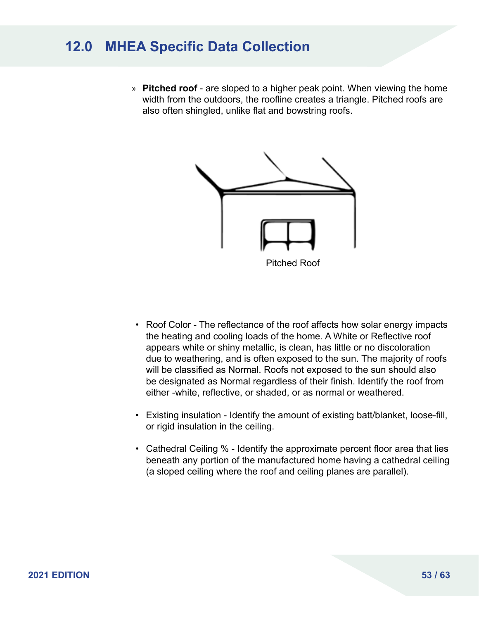» **Pitched roof** - are sloped to a higher peak point. When viewing the home width from the outdoors, the roofline creates a triangle. Pitched roofs are also often shingled, unlike flat and bowstring roofs.



- Roof Color The reflectance of the roof affects how solar energy impacts the heating and cooling loads of the home. A White or Reflective roof appears white or shiny metallic, is clean, has little or no discoloration due to weathering, and is often exposed to the sun. The majority of roofs will be classified as Normal. Roofs not exposed to the sun should also be designated as Normal regardless of their finish. Identify the roof from either -white, reflective, or shaded, or as normal or weathered.
- Existing insulation Identify the amount of existing batt/blanket, loose-fill, or rigid insulation in the ceiling.
- Cathedral Ceiling % Identify the approximate percent floor area that lies beneath any portion of the manufactured home having a cathedral ceiling (a sloped ceiling where the roof and ceiling planes are parallel).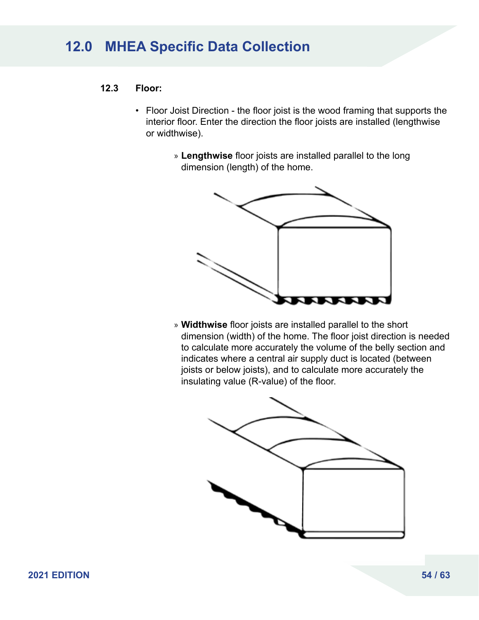### **12.3 Floor:**

- Floor Joist Direction the floor joist is the wood framing that supports the interior floor. Enter the direction the floor joists are installed (lengthwise or widthwise).
	- » **Lengthwise** floor joists are installed parallel to the long dimension (length) of the home.



» **Widthwise** floor joists are installed parallel to the short dimension (width) of the home. The floor joist direction is needed to calculate more accurately the volume of the belly section and indicates where a central air supply duct is located (between joists or below joists), and to calculate more accurately the insulating value (R-value) of the floor.

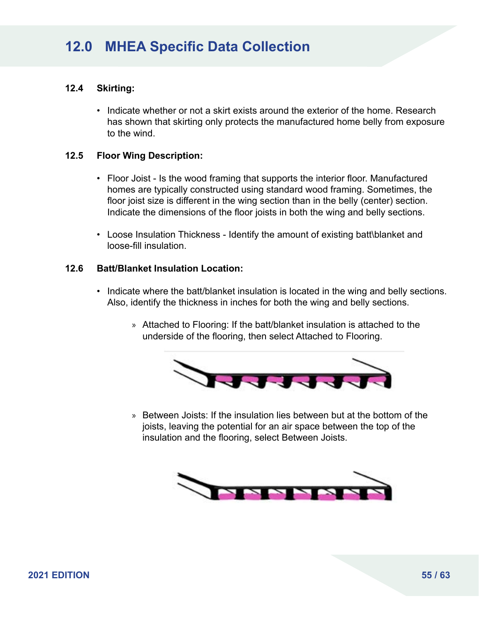### **12.4 Skirting:**

• Indicate whether or not a skirt exists around the exterior of the home. Research has shown that skirting only protects the manufactured home belly from exposure to the wind.

#### **12.5 Floor Wing Description:**

- Floor Joist Is the wood framing that supports the interior floor. Manufactured homes are typically constructed using standard wood framing. Sometimes, the floor joist size is different in the wing section than in the belly (center) section. Indicate the dimensions of the floor joists in both the wing and belly sections.
- Loose Insulation Thickness Identify the amount of existing batt\blanket and loose-fill insulation.

### **12.6 Batt/Blanket Insulation Location:**

- Indicate where the batt/blanket insulation is located in the wing and belly sections. Also, identify the thickness in inches for both the wing and belly sections.
	- » Attached to Flooring: If the batt/blanket insulation is attached to the underside of the flooring, then select Attached to Flooring.



» Between Joists: If the insulation lies between but at the bottom of the joists, leaving the potential for an air space between the top of the insulation and the flooring, select Between Joists.

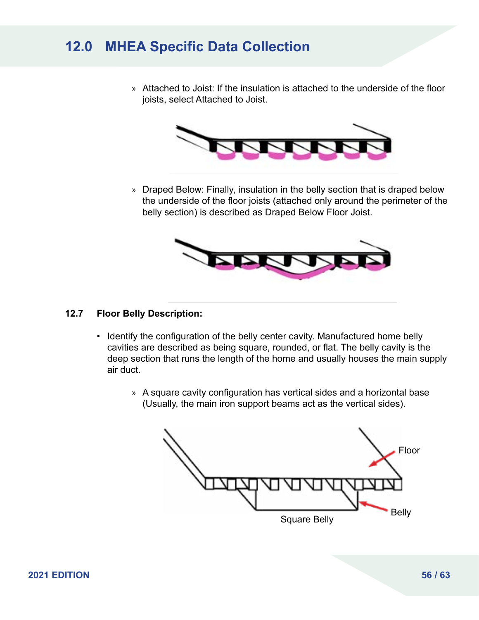» Attached to Joist: If the insulation is attached to the underside of the floor joists, select Attached to Joist.



» Draped Below: Finally, insulation in the belly section that is draped below the underside of the floor joists (attached only around the perimeter of the belly section) is described as Draped Below Floor Joist.



### **12.7 Floor Belly Description:**

- Identify the configuration of the belly center cavity. Manufactured home belly cavities are described as being square, rounded, or flat. The belly cavity is the deep section that runs the length of the home and usually houses the main supply air duct.
	- » A square cavity configuration has vertical sides and a horizontal base (Usually, the main iron support beams act as the vertical sides).

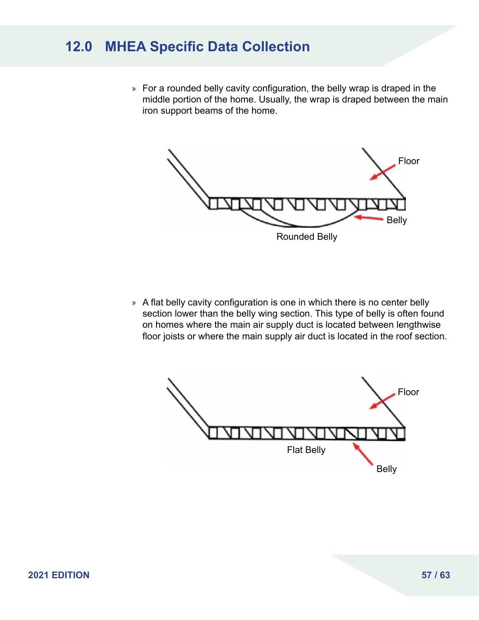» For a rounded belly cavity configuration, the belly wrap is draped in the middle portion of the home. Usually, the wrap is draped between the main iron support beams of the home.



» A flat belly cavity configuration is one in which there is no center belly section lower than the belly wing section. This type of belly is often found on homes where the main air supply duct is located between lengthwise floor joists or where the main supply air duct is located in the roof section.

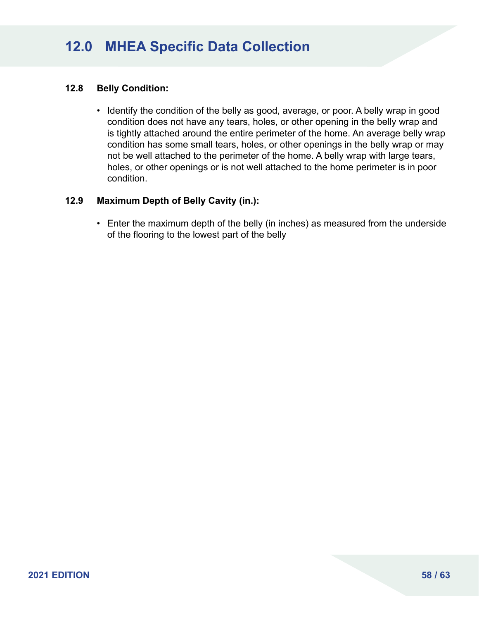### **12.8 Belly Condition:**

• Identify the condition of the belly as good, average, or poor. A belly wrap in good condition does not have any tears, holes, or other opening in the belly wrap and is tightly attached around the entire perimeter of the home. An average belly wrap condition has some small tears, holes, or other openings in the belly wrap or may not be well attached to the perimeter of the home. A belly wrap with large tears, holes, or other openings or is not well attached to the home perimeter is in poor condition.

#### **12.9 Maximum Depth of Belly Cavity (in.):**

• Enter the maximum depth of the belly (in inches) as measured from the underside of the flooring to the lowest part of the belly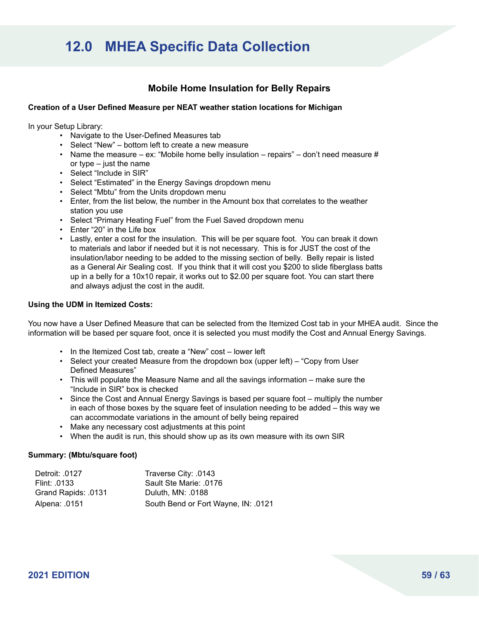### **Mobile Home Insulation for Belly Repairs**

#### **Creation of a User Defined Measure per NEAT weather station locations for Michigan**

In your Setup Library:

- Navigate to the User-Defined Measures tab
- Select "New" bottom left to create a new measure
- Name the measure ex: "Mobile home belly insulation repairs" don't need measure  $#$ or type – just the name
- Select "Include in SIR"
- Select "Estimated" in the Energy Savings dropdown menu
- Select "Mbtu" from the Units dropdown menu
- Enter, from the list below, the number in the Amount box that correlates to the weather station you use
- Select "Primary Heating Fuel" from the Fuel Saved dropdown menu
- Enter "20" in the Life box
- Lastly, enter a cost for the insulation. This will be per square foot. You can break it down to materials and labor if needed but it is not necessary. This is for JUST the cost of the insulation/labor needing to be added to the missing section of belly. Belly repair is listed as a General Air Sealing cost. If you think that it will cost you \$200 to slide fiberglass batts up in a belly for a 10x10 repair, it works out to \$2.00 per square foot. You can start there and always adjust the cost in the audit.

#### **Using the UDM in Itemized Costs:**

You now have a User Defined Measure that can be selected from the Itemized Cost tab in your MHEA audit. Since the information will be based per square foot, once it is selected you must modify the Cost and Annual Energy Savings.

- In the Itemized Cost tab, create a "New" cost lower left
- Select your created Measure from the dropdown box (upper left) "Copy from User Defined Measures"
- This will populate the Measure Name and all the savings information make sure the "Include in SIR" box is checked
- Since the Cost and Annual Energy Savings is based per square foot multiply the number in each of those boxes by the square feet of insulation needing to be added – this way we can accommodate variations in the amount of belly being repaired
- Make any necessary cost adjustments at this point
- When the audit is run, this should show up as its own measure with its own SIR

#### **Summary: (Mbtu/square foot)**

| Detroit: .0127      | Traverse City: .0143                |
|---------------------|-------------------------------------|
| Flint: .0133        | Sault Ste Marie: .0176              |
| Grand Rapids: .0131 | Duluth, MN: .0188                   |
| Alpena: .0151       | South Bend or Fort Wayne, IN: .0121 |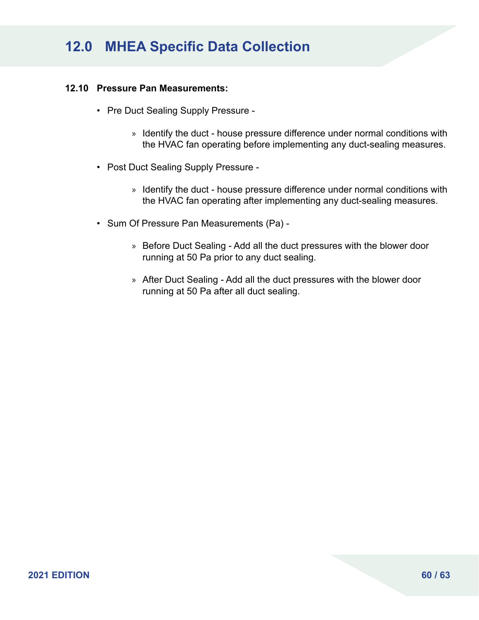#### **12.10 Pressure Pan Measurements:**

- Pre Duct Sealing Supply Pressure
	- » Identify the duct house pressure difference under normal conditions with the HVAC fan operating before implementing any duct-sealing measures.
- Post Duct Sealing Supply Pressure
	- » Identify the duct house pressure difference under normal conditions with the HVAC fan operating after implementing any duct-sealing measures.
- Sum Of Pressure Pan Measurements (Pa)
	- » Before Duct Sealing Add all the duct pressures with the blower door running at 50 Pa prior to any duct sealing.
	- » After Duct Sealing Add all the duct pressures with the blower door running at 50 Pa after all duct sealing.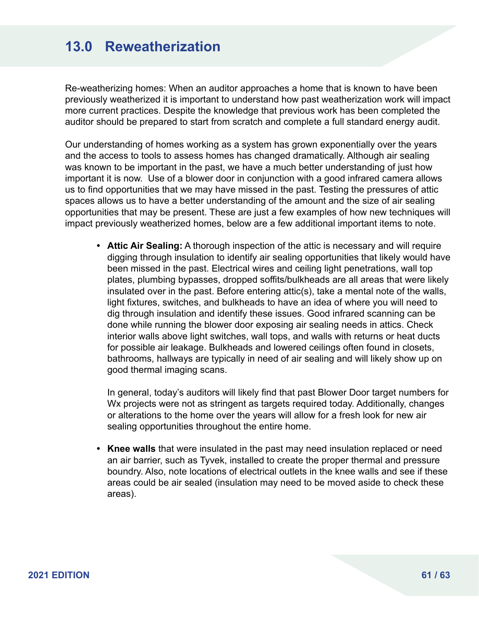### **13.0 Reweatherization**

Re-weatherizing homes: When an auditor approaches a home that is known to have been previously weatherized it is important to understand how past weatherization work will impact more current practices. Despite the knowledge that previous work has been completed the auditor should be prepared to start from scratch and complete a full standard energy audit.

Our understanding of homes working as a system has grown exponentially over the years and the access to tools to assess homes has changed dramatically. Although air sealing was known to be important in the past, we have a much better understanding of just how important it is now. Use of a blower door in conjunction with a good infrared camera allows us to find opportunities that we may have missed in the past. Testing the pressures of attic spaces allows us to have a better understanding of the amount and the size of air sealing opportunities that may be present. These are just a few examples of how new techniques will impact previously weatherized homes, below are a few additional important items to note.

**• Attic Air Sealing:** A thorough inspection of the attic is necessary and will require digging through insulation to identify air sealing opportunities that likely would have been missed in the past. Electrical wires and ceiling light penetrations, wall top plates, plumbing bypasses, dropped soffits/bulkheads are all areas that were likely insulated over in the past. Before entering attic(s), take a mental note of the walls, light fixtures, switches, and bulkheads to have an idea of where you will need to dig through insulation and identify these issues. Good infrared scanning can be done while running the blower door exposing air sealing needs in attics. Check interior walls above light switches, wall tops, and walls with returns or heat ducts for possible air leakage. Bulkheads and lowered ceilings often found in closets, bathrooms, hallways are typically in need of air sealing and will likely show up on good thermal imaging scans.

In general, today's auditors will likely find that past Blower Door target numbers for Wx projects were not as stringent as targets required today. Additionally, changes or alterations to the home over the years will allow for a fresh look for new air sealing opportunities throughout the entire home.

**• Knee walls** that were insulated in the past may need insulation replaced or need an air barrier, such as Tyvek, installed to create the proper thermal and pressure boundry. Also, note locations of electrical outlets in the knee walls and see if these areas could be air sealed (insulation may need to be moved aside to check these areas).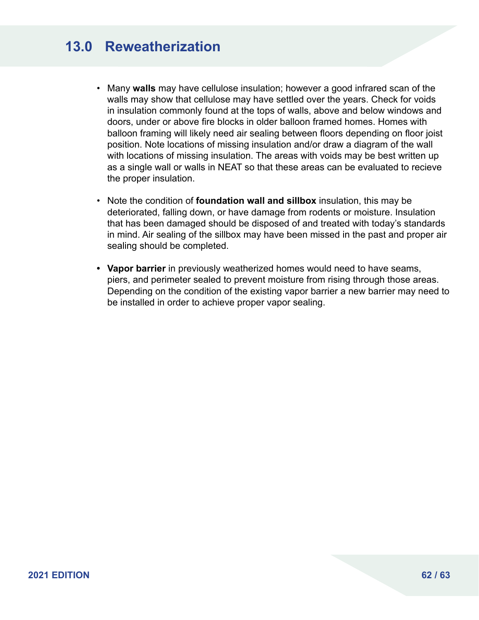# **13.0 Reweatherization**

- Many **walls** may have cellulose insulation; however a good infrared scan of the walls may show that cellulose may have settled over the years. Check for voids in insulation commonly found at the tops of walls, above and below windows and doors, under or above fire blocks in older balloon framed homes. Homes with balloon framing will likely need air sealing between floors depending on floor joist position. Note locations of missing insulation and/or draw a diagram of the wall with locations of missing insulation. The areas with voids may be best written up as a single wall or walls in NEAT so that these areas can be evaluated to recieve the proper insulation.
- Note the condition of **foundation wall and sillbox** insulation, this may be deteriorated, falling down, or have damage from rodents or moisture. Insulation that has been damaged should be disposed of and treated with today's standards in mind. Air sealing of the sillbox may have been missed in the past and proper air sealing should be completed.
- **• Vapor barrier** in previously weatherized homes would need to have seams, piers, and perimeter sealed to prevent moisture from rising through those areas. Depending on the condition of the existing vapor barrier a new barrier may need to be installed in order to achieve proper vapor sealing.